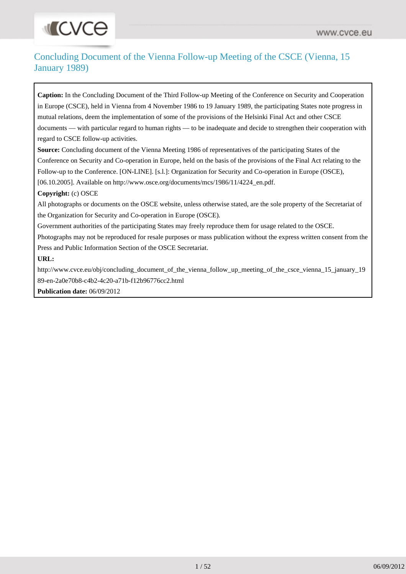# **INCACE**

# Concluding Document of the Vienna Follow-up Meeting of the CSCE (Vienna, 15 January 1989)

**Caption:** In the Concluding Document of the Third Follow-up Meeting of the Conference on Security and Cooperation in Europe (CSCE), held in Vienna from 4 November 1986 to 19 January 1989, the participating States note progress in mutual relations, deem the implementation of some of the provisions of the Helsinki Final Act and other CSCE documents — with particular regard to human rights — to be inadequate and decide to strengthen their cooperation with regard to CSCE follow-up activities. **Source:** Concluding document of the Vienna Meeting 1986 of representatives of the participating States of the Conference on Security and Co-operation in Europe, held on the basis of the provisions of the Final Act relating to the Follow-up to the Conference. [ON-LINE]. [s.l.]: Organization for Security and Co-operation in Europe (OSCE), [06.10.2005]. Available on http://www.osce.org/documents/mcs/1986/11/4224\_en.pdf. **Copyright:** (c) OSCE All photographs or documents on the OSCE website, unless otherwise stated, are the sole property of the Secretariat of

the Organization for Security and Co-operation in Europe (OSCE).

Government authorities of the participating States may freely reproduce them for usage related to the OSCE.

Photographs may not be reproduced for resale purposes or mass publication without the express written consent from the Press and Public Information Section of the OSCE Secretariat.

### **URL:**

[http://www.cvce.eu/obj/concluding\\_document\\_of\\_the\\_vienna\\_follow\\_up\\_meeting\\_of\\_the\\_csce\\_vienna\\_15\\_january\\_19](http://www.cvce.eu/obj/concluding_document_of_the_vienna_follow_up_meeting_of_the_csce_vienna_15_january_1989-en-2a0e70b8-c4b2-4c20-a71b-f12b96776cc2.html) [89-en-2a0e70b8-c4b2-4c20-a71b-f12b96776cc2.html](http://www.cvce.eu/obj/concluding_document_of_the_vienna_follow_up_meeting_of_the_csce_vienna_15_january_1989-en-2a0e70b8-c4b2-4c20-a71b-f12b96776cc2.html)

**Publication date:** 06/09/2012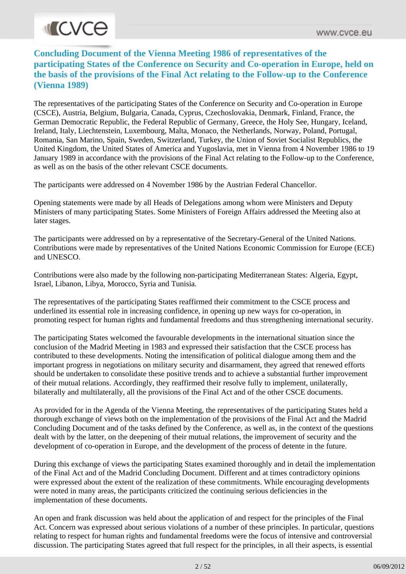# **INCVCe**

# **Concluding Document of the Vienna Meeting 1986 of representatives of the participating States of the Conference on Security and Co-operation in Europe, held on the basis of the provisions of the Final Act relating to the Follow-up to the Conference (Vienna 1989)**

The representatives of the participating States of the Conference on Security and Co-operation in Europe (CSCE), Austria, Belgium, Bulgaria, Canada, Cyprus, Czechoslovakia, Denmark, Finland, France, the German Democratic Republic, the Federal Republic of Germany, Greece, the Holy See, Hungary, Iceland, Ireland, Italy, Liechtenstein, Luxembourg, Malta, Monaco, the Netherlands, Norway, Poland, Portugal, Romania, San Marino, Spain, Sweden, Switzerland, Turkey, the Union of Soviet Socialist Republics, the United Kingdom, the United States of America and Yugoslavia, met in Vienna from 4 November 1986 to 19 January 1989 in accordance with the provisions of the Final Act relating to the Follow-up to the Conference, as well as on the basis of the other relevant CSCE documents.

The participants were addressed on 4 November 1986 by the Austrian Federal Chancellor.

Opening statements were made by all Heads of Delegations among whom were Ministers and Deputy Ministers of many participating States. Some Ministers of Foreign Affairs addressed the Meeting also at later stages.

The participants were addressed on by a representative of the Secretary-General of the United Nations. Contributions were made by representatives of the United Nations Economic Commission for Europe (ECE) and UNESCO.

Contributions were also made by the following non-participating Mediterranean States: Algeria, Egypt, Israel, Libanon, Libya, Morocco, Syria and Tunisia.

The representatives of the participating States reaffirmed their commitment to the CSCE process and underlined its essential role in increasing confidence, in opening up new ways for co-operation, in promoting respect for human rights and fundamental freedoms and thus strengthening international security.

The participating States welcomed the favourable developments in the international situation since the conclusion of the Madrid Meeting in 1983 and expressed their satisfaction that the CSCE process has contributed to these developments. Noting the intensification of political dialogue among them and the important progress in negotiations on military security and disarmament, they agreed that renewed efforts should be undertaken to consolidate these positive trends and to achieve a substantial further improvement of their mutual relations. Accordingly, they reaffirmed their resolve fully to implement, unilaterally, bilaterally and multilaterally, all the provisions of the Final Act and of the other CSCE documents.

As provided for in the Agenda of the Vienna Meeting, the representatives of the participating States held a thorough exchange of views both on the implementation of the provisions of the Final Act and the Madrid Concluding Document and of the tasks defined by the Conference, as well as, in the context of the questions dealt with by the latter, on the deepening of their mutual relations, the improvement of security and the development of co-operation in Europe, and the development of the process of detente in the future.

During this exchange of views the participating States examined thoroughly and in detail the implementation of the Final Act and of the Madrid Concluding Document. Different and at times contradictory opinions were expressed about the extent of the realization of these commitments. While encouraging developments were noted in many areas, the participants criticized the continuing serious deficiencies in the implementation of these documents.

An open and frank discussion was held about the application of and respect for the principles of the Final Act. Concern was expressed about serious violations of a number of these principles. In particular, questions relating to respect for human rights and fundamental freedoms were the focus of intensive and controversial discussion. The participating States agreed that full respect for the principles, in all their aspects, is essential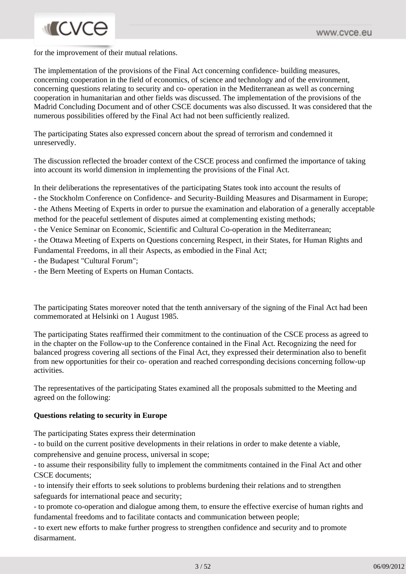# **MICVCE**

for the improvement of their mutual relations.

The implementation of the provisions of the Final Act concerning confidence- building measures, concerning cooperation in the field of economics, of science and technology and of the environment, concerning questions relating to security and co- operation in the Mediterranean as well as concerning cooperation in humanitarian and other fields was discussed. The implementation of the provisions of the Madrid Concluding Document and of other CSCE documents was also discussed. It was considered that the numerous possibilities offered by the Final Act had not been sufficiently realized.

The participating States also expressed concern about the spread of terrorism and condemned it unreservedly.

The discussion reflected the broader context of the CSCE process and confirmed the importance of taking into account its world dimension in implementing the provisions of the Final Act.

In their deliberations the representatives of the participating States took into account the results of

- the Stockholm Conference on Confidence- and Security-Building Measures and Disarmament in Europe;

- the Athens Meeting of Experts in order to pursue the examination and elaboration of a generally acceptable method for the peaceful settlement of disputes aimed at complementing existing methods;

- the Venice Seminar on Economic, Scientific and Cultural Co-operation in the Mediterranean;

- the Ottawa Meeting of Experts on Questions concerning Respect, in their States, for Human Rights and Fundamental Freedoms, in all their Aspects, as embodied in the Final Act;

- the Budapest "Cultural Forum";

- the Bern Meeting of Experts on Human Contacts.

The participating States moreover noted that the tenth anniversary of the signing of the Final Act had been commemorated at Helsinki on 1 August 1985.

The participating States reaffirmed their commitment to the continuation of the CSCE process as agreed to in the chapter on the Follow-up to the Conference contained in the Final Act. Recognizing the need for balanced progress covering all sections of the Final Act, they expressed their determination also to benefit from new opportunities for their co- operation and reached corresponding decisions concerning follow-up activities.

The representatives of the participating States examined all the proposals submitted to the Meeting and agreed on the following:

# **Questions relating to security in Europe**

The participating States express their determination

- to build on the current positive developments in their relations in order to make detente a viable, comprehensive and genuine process, universal in scope;

- to assume their responsibility fully to implement the commitments contained in the Final Act and other CSCE documents;

- to intensify their efforts to seek solutions to problems burdening their relations and to strengthen safeguards for international peace and security;

- to promote co-operation and dialogue among them, to ensure the effective exercise of human rights and fundamental freedoms and to facilitate contacts and communication between people;

- to exert new efforts to make further progress to strengthen confidence and security and to promote disarmament.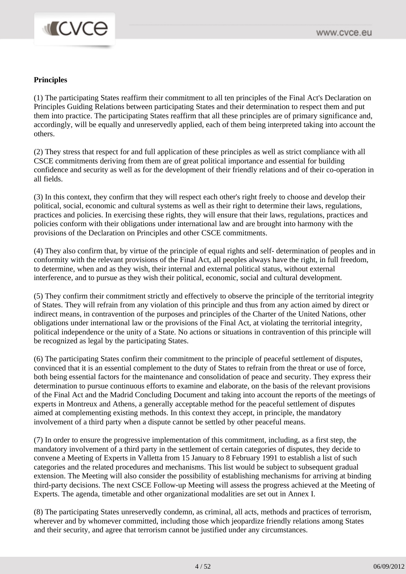

### **Principles**

(1) The participating States reaffirm their commitment to all ten principles of the Final Act's Declaration on Principles Guiding Relations between participating States and their determination to respect them and put them into practice. The participating States reaffirm that all these principles are of primary significance and, accordingly, will be equally and unreservedly applied, each of them being interpreted taking into account the others.

(2) They stress that respect for and full application of these principles as well as strict compliance with all CSCE commitments deriving from them are of great political importance and essential for building confidence and security as well as for the development of their friendly relations and of their co-operation in all fields.

(3) In this context, they confirm that they will respect each other's right freely to choose and develop their political, social, economic and cultural systems as well as their right to determine their laws, regulations, practices and policies. In exercising these rights, they will ensure that their laws, regulations, practices and policies conform with their obligations under international law and are brought into harmony with the provisions of the Declaration on Principles and other CSCE commitments.

(4) They also confirm that, by virtue of the principle of equal rights and self- determination of peoples and in conformity with the relevant provisions of the Final Act, all peoples always have the right, in full freedom, to determine, when and as they wish, their internal and external political status, without external interference, and to pursue as they wish their political, economic, social and cultural development.

(5) They confirm their commitment strictly and effectively to observe the principle of the territorial integrity of States. They will refrain from any violation of this principle and thus from any action aimed by direct or indirect means, in contravention of the purposes and principles of the Charter of the United Nations, other obligations under international law or the provisions of the Final Act, at violating the territorial integrity, political independence or the unity of a State. No actions or situations in contravention of this principle will be recognized as legal by the participating States.

(6) The participating States confirm their commitment to the principle of peaceful settlement of disputes, convinced that it is an essential complement to the duty of States to refrain from the threat or use of force, both being essential factors for the maintenance and consolidation of peace and security. They express their determination to pursue continuous efforts to examine and elaborate, on the basis of the relevant provisions of the Final Act and the Madrid Concluding Document and taking into account the reports of the meetings of experts in Montreux and Athens, a generally acceptable method for the peaceful settlement of disputes aimed at complementing existing methods. In this context they accept, in principle, the mandatory involvement of a third party when a dispute cannot be settled by other peaceful means.

(7) In order to ensure the progressive implementation of this commitment, including, as a first step, the mandatory involvement of a third party in the settlement of certain categories of disputes, they decide to convene a Meeting of Experts in Valletta from 15 January to 8 February 1991 to establish a list of such categories and the related procedures and mechanisms. This list would be subject to subsequent gradual extension. The Meeting will also consider the possibility of establishing mechanisms for arriving at binding third-party decisions. The next CSCE Follow-up Meeting will assess the progress achieved at the Meeting of Experts. The agenda, timetable and other organizational modalities are set out in Annex I.

(8) The participating States unreservedly condemn, as criminal, all acts, methods and practices of terrorism, wherever and by whomever committed, including those which jeopardize friendly relations among States and their security, and agree that terrorism cannot be justified under any circumstances.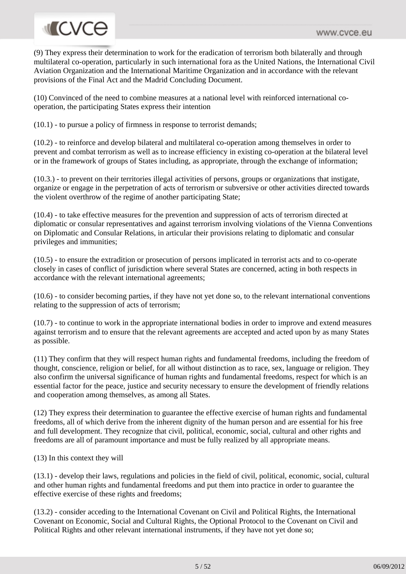# **MCVCe**

(9) They express their determination to work for the eradication of terrorism both bilaterally and through multilateral co-operation, particularly in such international fora as the United Nations, the International Civil Aviation Organization and the International Maritime Organization and in accordance with the relevant provisions of the Final Act and the Madrid Concluding Document.

(10) Convinced of the need to combine measures at a national level with reinforced international cooperation, the participating States express their intention

(10.1) - to pursue a policy of firmness in response to terrorist demands;

(10.2) - to reinforce and develop bilateral and multilateral co-operation among themselves in order to prevent and combat terrorism as well as to increase efficiency in existing co-operation at the bilateral level or in the framework of groups of States including, as appropriate, through the exchange of information;

(10.3.) - to prevent on their territories illegal activities of persons, groups or organizations that instigate, organize or engage in the perpetration of acts of terrorism or subversive or other activities directed towards the violent overthrow of the regime of another participating State;

(10.4) - to take effective measures for the prevention and suppression of acts of terrorism directed at diplomatic or consular representatives and against terrorism involving violations of the Vienna Conventions on Diplomatic and Consular Relations, in articular their provisions relating to diplomatic and consular privileges and immunities;

(10.5) - to ensure the extradition or prosecution of persons implicated in terrorist acts and to co-operate closely in cases of conflict of jurisdiction where several States are concerned, acting in both respects in accordance with the relevant international agreements;

(10.6) - to consider becoming parties, if they have not yet done so, to the relevant international conventions relating to the suppression of acts of terrorism;

(10.7) - to continue to work in the appropriate international bodies in order to improve and extend measures against terrorism and to ensure that the relevant agreements are accepted and acted upon by as many States as possible.

(11) They confirm that they will respect human rights and fundamental freedoms, including the freedom of thought, conscience, religion or belief, for all without distinction as to race, sex, language or religion. They also confirm the universal significance of human rights and fundamental freedoms, respect for which is an essential factor for the peace, justice and security necessary to ensure the development of friendly relations and cooperation among themselves, as among all States.

(12) They express their determination to guarantee the effective exercise of human rights and fundamental freedoms, all of which derive from the inherent dignity of the human person and are essential for his free and full development. They recognize that civil, political, economic, social, cultural and other rights and freedoms are all of paramount importance and must be fully realized by all appropriate means.

(13) In this context they will

(13.1) - develop their laws, regulations and policies in the field of civil, political, economic, social, cultural and other human rights and fundamental freedoms and put them into practice in order to guarantee the effective exercise of these rights and freedoms;

(13.2) - consider acceding to the International Covenant on Civil and Political Rights, the International Covenant on Economic, Social and Cultural Rights, the Optional Protocol to the Covenant on Civil and Political Rights and other relevant international instruments, if they have not yet done so;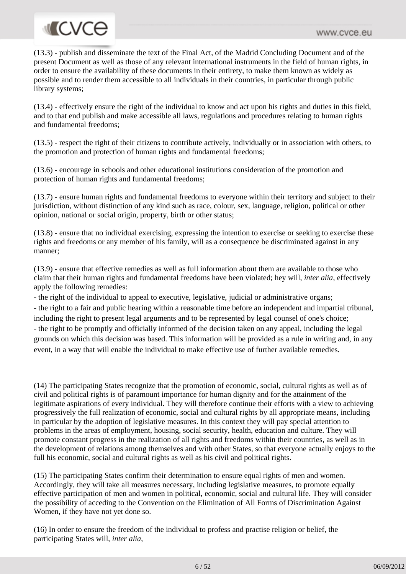(13.3) - publish and disseminate the text of the Final Act, of the Madrid Concluding Document and of the present Document as well as those of any relevant international instruments in the field of human rights, in order to ensure the availability of these documents in their entirety, to make them known as widely as possible and to render them accessible to all individuals in their countries, in particular through public library systems;

(13.4) - effectively ensure the right of the individual to know and act upon his rights and duties in this field, and to that end publish and make accessible all laws, regulations and procedures relating to human rights and fundamental freedoms;

(13.5) - respect the right of their citizens to contribute actively, individually or in association with others, to the promotion and protection of human rights and fundamental freedoms;

(13.6) - encourage in schools and other educational institutions consideration of the promotion and protection of human rights and fundamental freedoms;

(13.7) - ensure human rights and fundamental freedoms to everyone within their territory and subject to their jurisdiction, without distinction of any kind such as race, colour, sex, language, religion, political or other opinion, national or social origin, property, birth or other status;

(13.8) - ensure that no individual exercising, expressing the intention to exercise or seeking to exercise these rights and freedoms or any member of his family, will as a consequence be discriminated against in any manner;

(13.9) - ensure that effective remedies as well as full information about them are available to those who claim that their human rights and fundamental freedoms have been violated; hey will, *inter alia*, effectively apply the following remedies:

- the right of the individual to appeal to executive, legislative, judicial or administrative organs;

- the right to a fair and public hearing within a reasonable time before an independent and impartial tribunal, including the right to present legal arguments and to be represented by legal counsel of one's choice;

- the right to be promptly and officially informed of the decision taken on any appeal, including the legal grounds on which this decision was based. This information will be provided as a rule in writing and, in any event, in a way that will enable the individual to make effective use of further available remedies.

(14) The participating States recognize that the promotion of economic, social, cultural rights as well as of civil and political rights is of paramount importance for human dignity and for the attainment of the legitimate aspirations of every individual. They will therefore continue their efforts with a view to achieving progressively the full realization of economic, social and cultural rights by all appropriate means, including in particular by the adoption of legislative measures. In this context they will pay special attention to problems in the areas of employment, housing, social security, health, education and culture. They will promote constant progress in the realization of all rights and freedoms within their countries, as well as in the development of relations among themselves and with other States, so that everyone actually enjoys to the full his economic, social and cultural rights as well as his civil and political rights.

(15) The participating States confirm their determination to ensure equal rights of men and women. Accordingly, they will take all measures necessary, including legislative measures, to promote equally effective participation of men and women in political, economic, social and cultural life. They will consider the possibility of acceding to the Convention on the Elimination of All Forms of Discrimination Against Women, if they have not yet done so.

(16) In order to ensure the freedom of the individual to profess and practise religion or belief, the participating States will, *inter alia*,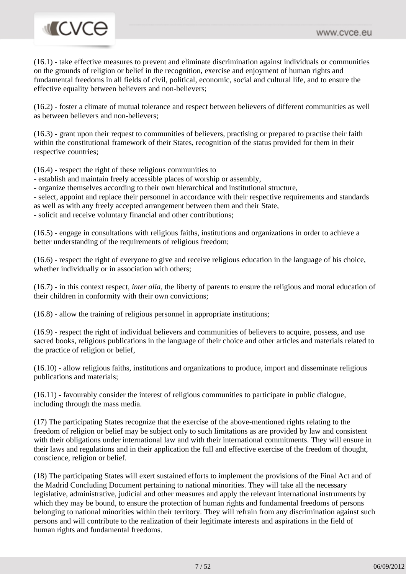# **MICVCO**

(16.1) - take effective measures to prevent and eliminate discrimination against individuals or communities on the grounds of religion or belief in the recognition, exercise and enjoyment of human rights and fundamental freedoms in all fields of civil, political, economic, social and cultural life, and to ensure the effective equality between believers and non-believers;

(16.2) - foster a climate of mutual tolerance and respect between believers of different communities as well as between believers and non-believers;

(16.3) - grant upon their request to communities of believers, practising or prepared to practise their faith within the constitutional framework of their States, recognition of the status provided for them in their respective countries;

(16.4) - respect the right of these religious communities to

- establish and maintain freely accessible places of worship or assembly,

- organize themselves according to their own hierarchical and institutional structure,

- select, appoint and replace their personnel in accordance with their respective requirements and standards as well as with any freely accepted arrangement between them and their State,

- solicit and receive voluntary financial and other contributions;

(16.5) - engage in consultations with religious faiths, institutions and organizations in order to achieve a better understanding of the requirements of religious freedom;

(16.6) - respect the right of everyone to give and receive religious education in the language of his choice, whether individually or in association with others;

(16.7) - in this context respect, *inter alia*, the liberty of parents to ensure the religious and moral education of their children in conformity with their own convictions;

(16.8) - allow the training of religious personnel in appropriate institutions;

(16.9) - respect the right of individual believers and communities of believers to acquire, possess, and use sacred books, religious publications in the language of their choice and other articles and materials related to the practice of religion or belief,

(16.10) - allow religious faiths, institutions and organizations to produce, import and disseminate religious publications and materials;

(16.11) - favourably consider the interest of religious communities to participate in public dialogue, including through the mass media.

(17) The participating States recognize that the exercise of the above-mentioned rights relating to the freedom of religion or belief may be subject only to such limitations as are provided by law and consistent with their obligations under international law and with their international commitments. They will ensure in their laws and regulations and in their application the full and effective exercise of the freedom of thought, conscience, religion or belief.

(18) The participating States will exert sustained efforts to implement the provisions of the Final Act and of the Madrid Concluding Document pertaining to national minorities. They will take all the necessary legislative, administrative, judicial and other measures and apply the relevant international instruments by which they may be bound, to ensure the protection of human rights and fundamental freedoms of persons belonging to national minorities within their territory. They will refrain from any discrimination against such persons and will contribute to the realization of their legitimate interests and aspirations in the field of human rights and fundamental freedoms.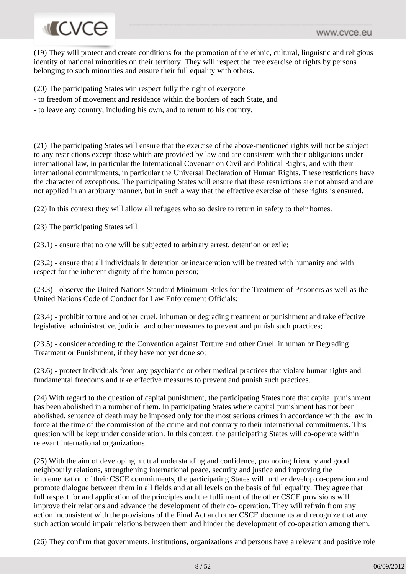# **MCVCe**

(19) They will protect and create conditions for the promotion of the ethnic, cultural, linguistic and religious identity of national minorities on their territory. They will respect the free exercise of rights by persons belonging to such minorities and ensure their full equality with others.

- (20) The participating States win respect fully the right of everyone
- to freedom of movement and residence within the borders of each State, and
- to leave any country, including his own, and to retum to his country.

(21) The participating States will ensure that the exercise of the above-mentioned rights will not be subject to any restrictions except those which are provided by law and are consistent with their obligations under international law, in particular the International Covenant on Civil and Political Rights, and with their international commitments, in particular the Universal Declaration of Human Rights. These restrictions have the character of exceptions. The participating States will ensure that these restrictions are not abused and are not applied in an arbitrary manner, but in such a way that the effective exercise of these rights is ensured.

(22) In this context they will allow all refugees who so desire to return in safety to their homes.

(23) The participating States will

(23.1) - ensure that no one will be subjected to arbitrary arrest, detention or exile;

(23.2) - ensure that all individuals in detention or incarceration will be treated with humanity and with respect for the inherent dignity of the human person;

(23.3) - observe the United Nations Standard Minimum Rules for the Treatment of Prisoners as well as the United Nations Code of Conduct for Law Enforcement Officials;

(23.4) - prohibit torture and other cruel, inhuman or degrading treatment or punishment and take effective legislative, administrative, judicial and other measures to prevent and punish such practices;

(23.5) - consider acceding to the Convention against Torture and other Cruel, inhuman or Degrading Treatment or Punishment, if they have not yet done so;

(23.6) - protect individuals from any psychiatric or other medical practices that violate human rights and fundamental freedoms and take effective measures to prevent and punish such practices.

(24) With regard to the question of capital punishment, the participating States note that capital punishment has been abolished in a number of them. In participating States where capital punishment has not been abolished, sentence of death may be imposed only for the most serious crimes in accordance with the law in force at the time of the commission of the crime and not contrary to their international commitments. This question will be kept under consideration. In this context, the participating States will co-operate within relevant international organizations.

(25) With the aim of developing mutual understanding and confidence, promoting friendly and good neighbourly relations, strengthening international peace, security and justice and improving the implementation of their CSCE commitments, the participating States will further develop co-operation and promote dialogue between them in all fields and at all levels on the basis of full equality. They agree that full respect for and application of the principles and the fulfilment of the other CSCE provisions will improve their relations and advance the development of their co- operation. They will refrain from any action inconsistent with the provisions of the Final Act and other CSCE documents and recognize that any such action would impair relations between them and hinder the development of co-operation among them.

(26) They confirm that governments, institutions, organizations and persons have a relevant and positive role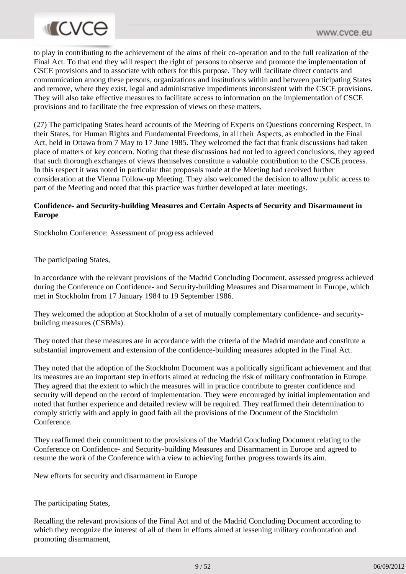to play in contributing to the achievement of the aims of their co-operation and to the full realization of the Final Act. To that end they will respect the right of persons to observe and promote the implementation of CSCE provisions and to associate with others for this purpose. They will facilitate direct contacts and communication among these persons, organizations and institutions within and between participating States and remove, where they exist, legal and administrative impediments inconsistent with the CSCE provisions. They will also take effective measures to facilitate access to information on the implementation of CSCE provisions and to facilitate the free expression of views on these matters.

(27) The participating States heard accounts of the Meeting of Experts on Questions concerning Respect, in their States, for Human Rights and Fundamental Freedoms, in all their Aspects, as embodied in the Final Act, held in Ottawa from 7 May to 17 June 1985. They welcomed the fact that frank discussions had taken place of matters of key concern. Noting that these discussions had not led to agreed conclusions, they agreed that such thorough exchanges of views themselves constitute a valuable contribution to the CSCE process. In this respect it was noted in particular that proposals made at the Meeting had received further consideration at the Vienna Follow-up Meeting. They also welcomed the decision to allow public access to part of the Meeting and noted that this practice was further developed at later meetings.

### **Confidence- and Security-building Measures and Certain Aspects of Security and Disarmament in Europe**

Stockholm Conference: Assessment of progress achieved

The participating States,

In accordance with the relevant provisions of the Madrid Concluding Document, assessed progress achieved during the Conference on Confidence- and Security-building Measures and Disarmament in Europe, which met in Stockholm from 17 January 1984 to 19 September 1986.

They welcomed the adoption at Stockholm of a set of mutually complementary confidence- and securitybuilding measures (CSBMs).

They noted that these measures are in accordance with the criteria of the Madrid mandate and constitute a substantial improvement and extension of the confidence-building measures adopted in the Final Act.

They noted that the adoption of the Stockholm Document was a politically significant achievement and that its measures are an important step in efforts aimed at reducing the risk of military confrontation in Europe. They agreed that the extent to which the measures will in practice contribute to greater confidence and security will depend on the record of implementation. They were encouraged by initial implementation and noted that further experience and detailed review will be required. They reaffirmed their determination to comply strictly with and apply in good faith all the provisions of the Document of the Stockholm Conference.

They reaffirmed their commitment to the provisions of the Madrid Concluding Document relating to the Conference on Confidence- and Security-building Measures and Disarmament in Europe and agreed to resume the work of the Conference with a view to achieving further progress towards its aim.

New efforts for security and disarmament in Europe

The participating States,

Recalling the relevant provisions of the Final Act and of the Madrid Concluding Document according to which they recognize the interest of all of them in efforts aimed at lessening military confrontation and promoting disarmament,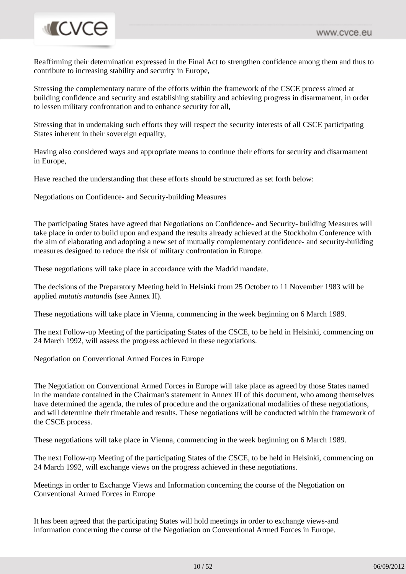# **MICVCO**

Reaffirming their determination expressed in the Final Act to strengthen confidence among them and thus to contribute to increasing stability and security in Europe,

Stressing the complementary nature of the efforts within the framework of the CSCE process aimed at building confidence and security and establishing stability and achieving progress in disarmament, in order to lessen military confrontation and to enhance security for all,

Stressing that in undertaking such efforts they will respect the security interests of all CSCE participating States inherent in their sovereign equality,

Having also considered ways and appropriate means to continue their efforts for security and disarmament in Europe,

Have reached the understanding that these efforts should be structured as set forth below:

Negotiations on Confidence- and Security-building Measures

The participating States have agreed that Negotiations on Confidence- and Security- building Measures will take place in order to build upon and expand the results already achieved at the Stockholm Conference with the aim of elaborating and adopting a new set of mutually complementary confidence- and security-building measures designed to reduce the risk of military confrontation in Europe.

These negotiations will take place in accordance with the Madrid mandate.

The decisions of the Preparatory Meeting held in Helsinki from 25 October to 11 November 1983 will be applied *mutatis mutandis* (see Annex II).

These negotiations will take place in Vienna, commencing in the week beginning on 6 March 1989.

The next Follow-up Meeting of the participating States of the CSCE, to be held in Helsinki, commencing on 24 March 1992, will assess the progress achieved in these negotiations.

Negotiation on Conventional Armed Forces in Europe

The Negotiation on Conventional Armed Forces in Europe will take place as agreed by those States named in the mandate contained in the Chairman's statement in Annex III of this document, who among themselves have determined the agenda, the rules of procedure and the organizational modalities of these negotiations, and will determine their timetable and results. These negotiations will be conducted within the framework of the CSCE process.

These negotiations will take place in Vienna, commencing in the week beginning on 6 March 1989.

The next Follow-up Meeting of the participating States of the CSCE, to be held in Helsinki, commencing on 24 March 1992, will exchange views on the progress achieved in these negotiations.

Meetings in order to Exchange Views and Information concerning the course of the Negotiation on Conventional Armed Forces in Europe

It has been agreed that the participating States will hold meetings in order to exchange views-and information concerning the course of the Negotiation on Conventional Armed Forces in Europe.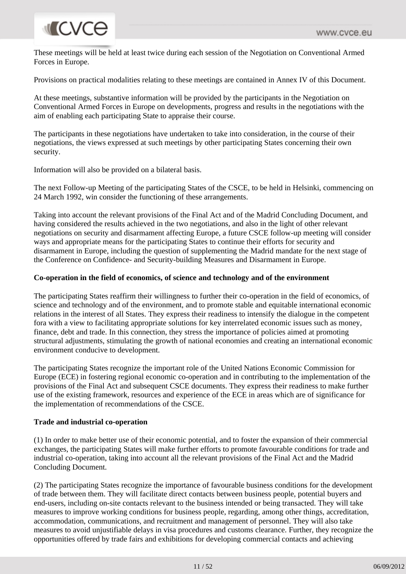# **INCVCE**

These meetings will be held at least twice during each session of the Negotiation on Conventional Armed Forces in Europe.

Provisions on practical modalities relating to these meetings are contained in Annex IV of this Document.

At these meetings, substantive information will be provided by the participants in the Negotiation on Conventional Armed Forces in Europe on developments, progress and results in the negotiations with the aim of enabling each participating State to appraise their course.

The participants in these negotiations have undertaken to take into consideration, in the course of their negotiations, the views expressed at such meetings by other participating States concerning their own security.

Information will also be provided on a bilateral basis.

The next Follow-up Meeting of the participating States of the CSCE, to be held in Helsinki, commencing on 24 March 1992, win consider the functioning of these arrangements.

Taking into account the relevant provisions of the Final Act and of the Madrid Concluding Document, and having considered the results achieved in the two negotiations, and also in the light of other relevant negotiations on security and disarmament affecting Europe, a future CSCE follow-up meeting will consider ways and appropriate means for the participating States to continue their efforts for security and disarmament in Europe, including the question of supplementing the Madrid mandate for the next stage of the Conference on Confidence- and Security-building Measures and Disarmament in Europe.

### **Co-operation in the field of economics, of science and technology and of the environment**

The participating States reaffirm their willingness to further their co-operation in the field of economics, of science and technology and of the environment, and to promote stable and equitable international economic relations in the interest of all States. They express their readiness to intensify the dialogue in the competent fora with a view to facilitating appropriate solutions for key interrelated economic issues such as money, finance, debt and trade. In this connection, they stress the importance of policies aimed at promoting structural adjustments, stimulating the growth of national economies and creating an international economic environment conducive to development.

The participating States recognize the important role of the United Nations Economic Commission for Europe (ECE) in fostering regional economic co-operation and in contributing to the implementation of the provisions of the Final Act and subsequent CSCE documents. They express their readiness to make further use of the existing framework, resources and experience of the ECE in areas which are of significance for the implementation of recommendations of the CSCE.

### **Trade and industrial co-operation**

(1) In order to make better use of their economic potential, and to foster the expansion of their commercial exchanges, the participating States will make further efforts to promote favourable conditions for trade and industrial co-operation, taking into account all the relevant provisions of the Final Act and the Madrid Concluding Document.

(2) The participating States recognize the importance of favourable business conditions for the development of trade between them. They will facilitate direct contacts between business people, potential buyers and end-users, including on-site contacts relevant to the business intended or being transacted. They will take measures to improve working conditions for business people, regarding, among other things, accreditation, accommodation, communications, and recruitment and management of personnel. They will also take measures to avoid unjustifiable delays in visa procedures and customs clearance. Further, they recognize the opportunities offered by trade fairs and exhibitions for developing commercial contacts and achieving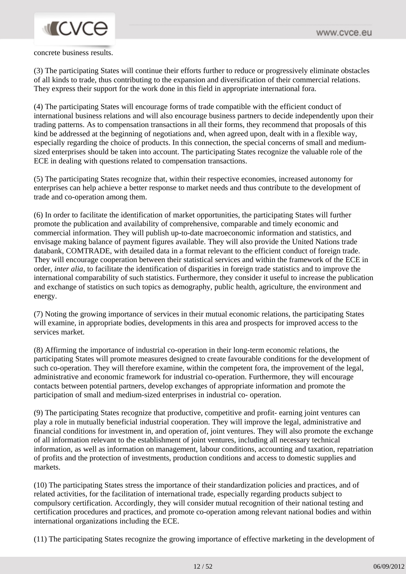# **INCVCE**

#### concrete business results.

(3) The participating States will continue their efforts further to reduce or progressively eliminate obstacles of all kinds to trade, thus contributing to the expansion and diversification of their commercial relations. They express their support for the work done in this field in appropriate international fora.

(4) The participating States will encourage forms of trade compatible with the efficient conduct of international business relations and will also encourage business partners to decide independently upon their trading patterns. As to compensation transactions in all their forms, they recommend that proposals of this kind be addressed at the beginning of negotiations and, when agreed upon, dealt with in a flexible way, especially regarding the choice of products. In this connection, the special concerns of small and mediumsized enterprises should be taken into account. The participating States recognize the valuable role of the ECE in dealing with questions related to compensation transactions.

(5) The participating States recognize that, within their respective economies, increased autonomy for enterprises can help achieve a better response to market needs and thus contribute to the development of trade and co-operation among them.

(6) In order to facilitate the identification of market opportunities, the participating States will further promote the publication and availability of comprehensive, comparable and timely economic and commercial information. They will publish up-to-date macroeconomic information and statistics, and envisage making balance of payment figures available. They will also provide the United Nations trade databank, COMTRADE, with detailed data in a format relevant to the efficient conduct of foreign trade. They will encourage cooperation between their statistical services and within the framework of the ECE in order, *inter alia*, to facilitate the identification of disparities in foreign trade statistics and to improve the international comparability of such statistics. Furthermore, they consider it useful to increase the publication and exchange of statistics on such topics as demography, public health, agriculture, the environment and energy.

(7) Noting the growing importance of services in their mutual economic relations, the participating States will examine, in appropriate bodies, developments in this area and prospects for improved access to the services market.

(8) Affirming the importance of industrial co-operation in their long-term economic relations, the participating States will promote measures designed to create favourable conditions for the development of such co-operation. They will therefore examine, within the competent fora, the improvement of the legal, administrative and economic framework for industrial co-operation. Furthermore, they will encourage contacts between potential partners, develop exchanges of appropriate information and promote the participation of small and medium-sized enterprises in industrial co- operation.

(9) The participating States recognize that productive, competitive and profit- earning joint ventures can play a role in mutually beneficial industrial cooperation. They will improve the legal, administrative and financial conditions for investment in, and operation of, joint ventures. They will also promote the exchange of all information relevant to the establishment of joint ventures, including all necessary technical information, as well as information on management, labour conditions, accounting and taxation, repatriation of profits and the protection of investments, production conditions and access to domestic supplies and markets.

(10) The participating States stress the importance of their standardization policies and practices, and of related activities, for the facilitation of international trade, especially regarding products subject to compulsory certification. Accordingly, they will consider mutual recognition of their national testing and certification procedures and practices, and promote co-operation among relevant national bodies and within international organizations including the ECE.

(11) The participating States recognize the growing importance of effective marketing in the development of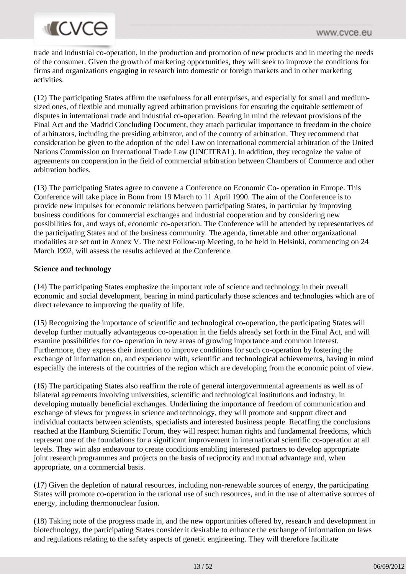# **MICVCO**

trade and industrial co-operation, in the production and promotion of new products and in meeting the needs of the consumer. Given the growth of marketing opportunities, they will seek to improve the conditions for firms and organizations engaging in research into domestic or foreign markets and in other marketing activities.

(12) The participating States affirm the usefulness for all enterprises, and especially for small and mediumsized ones, of flexible and mutually agreed arbitration provisions for ensuring the equitable settlement of disputes in international trade and industrial co-operation. Bearing in mind the relevant provisions of the Final Act and the Madrid Concluding Document, they attach particular importance to freedom in the choice of arbitrators, including the presiding arbitrator, and of the country of arbitration. They recommend that consideration be given to the adoption of the odel Law on international commercial arbitration of the United Nations Commission on International Trade Law (UNCITRAL). In addition, they recognize the value of agreements on cooperation in the field of commercial arbitration between Chambers of Commerce and other arbitration bodies.

(13) The participating States agree to convene a Conference on Economic Co- operation in Europe. This Conference will take place in Bonn from 19 March to 11 April 1990. The aim of the Conference is to provide new impulses for economic relations between participating States, in particular by improving business conditions for commercial exchanges and industrial cooperation and by considering new possibilities for, and ways of, economic co-operation. The Conference will be attended by representatives of the participating States and of the business community. The agenda, timetable and other organizational modalities are set out in Annex V. The next Follow-up Meeting, to be held in Helsinki, commencing on 24 March 1992, will assess the results achieved at the Conference.

## **Science and technology**

(14) The participating States emphasize the important role of science and technology in their overall economic and social development, bearing in mind particularly those sciences and technologies which are of direct relevance to improving the quality of life.

(15) Recognizing the importance of scientific and technological co-operation, the participating States will develop further mutually advantageous co-operation in the fields already set forth in the Final Act, and will examine possibilities for co- operation in new areas of growing importance and common interest. Furthermore, they express their intention to improve conditions for such co-operation by fostering the exchange of information on, and experience with, scientific and technological achievements, having in mind especially the interests of the countries of the region which are developing from the economic point of view.

(16) The participating States also reaffirm the role of general intergovernmental agreements as well as of bilateral agreements involving universities, scientific and technological institutions and industry, in developing mutually beneficial exchanges. Underlining the importance of freedom of communication and exchange of views for progress in science and technology, they will promote and support direct and individual contacts between scientists, specialists and interested business people. Recaffing the conclusions reached at the Hamburg Scientific Forum, they will respect human rights and fundamental freedoms, which represent one of the foundations for a significant improvement in international scientific co-operation at all levels. They win also endeavour to create conditions enabling interested partners to develop appropriate joint research programmes and projects on the basis of reciprocity and mutual advantage and, when appropriate, on a commercial basis.

(17) Given the depletion of natural resources, including non-renewable sources of energy, the participating States will promote co-operation in the rational use of such resources, and in the use of alternative sources of energy, including thermonuclear fusion.

(18) Taking note of the progress made in, and the new opportunities offered by, research and development in biotechnology, the participating States consider it desirable to enhance the exchange of information on laws and regulations relating to the safety aspects of genetic engineering. They will therefore facilitate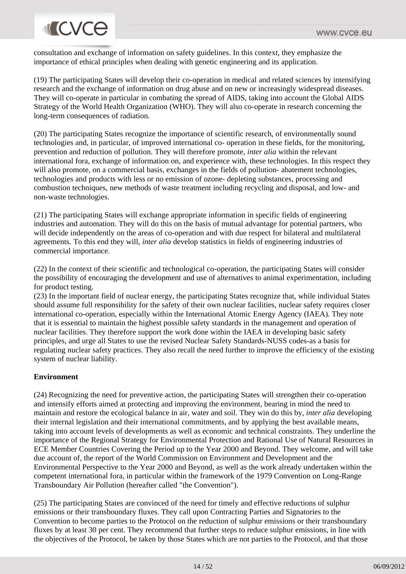# **INCVCE**

consultation and exchange of information on safety guidelines. In this context, they emphasize the importance of ethical principles when dealing with genetic engineering and its application.

(19) The participating States will develop their co-operation in medical and related sciences by intensifying research and the exchange of information on drug abuse and on new or increasingly widespread diseases. They will co-operate in particular in combating the spread of AIDS, taking into account the Global AIDS Strategy of the World Health Organization (WHO). They will also co-operate in research concerning the long-term consequences of radiation.

(20) The participating States recognize the importance of scientific research, of environmentally sound technologies and, in particular, of improved international co- operation in these fields, for the monitoring, prevention and reduction of pollution. They will therefore promote, *inter alia* within the relevant international fora, exchange of information on, and experience with, these technologies. In this respect they will also promote, on a commercial basis, exchanges in the fields of pollution- abatement technologies, technologies and products with less or no emission of ozone- depleting substances, processing and combustion techniques, new methods of waste treatment including recycling and disposal, and low- and non-waste technologies.

(21) The participating States will exchange appropriate information in specific fields of engineering industries and automation. They will do this on the basis of mutual advantage for potential partners, who will decide independently on the areas of co-operation and with due respect for bilateral and multilateral agreements. To this end they will, *inter alia* develop statistics in fields of engineering industries of commercial importance.

(22) In the context of their scientific and technological co-operation, the participating States will consider the possibility of encouraging the development and use of alternatives to animal experimentation, including for product testing.

(23) In the important field of nuclear energy, the participating States recognize that, while individual States should assume full responsibility for the safety of their own nuclear facilities, nuclear safety requires closer international co-operation, especially within the International Atomic Energy Agency (IAEA). They note that it is essential to maintain the highest possible safety standards in the management and operation of nuclear facilities. They therefore support the work done within the IAEA in developing basic safety principles, and urge all States to use the revised Nuclear Safety Standards-NUSS codes-as a basis for regulating nuclear safety practices. They also recall the need further to improve the efficiency of the existing system of nuclear liability.

### **Environment**

(24) Recognizing the need for preventive action, the participating States will strengthen their co-operation and intensify efforts aimed at protecting and improving the environment, bearing in mind the need to maintain and restore the ecological balance in air, water and soil. They win do this by, *inter alia* developing their internal legislation and their international commitments, and by applying the best available means, taking into account levels of developments as well as economic and technical constraints. They underline the importance of the Regional Strategy for Environmental Protection and Rational Use of Natural Resources in ECE Member Countries Covering the Period up to the Year 2000 and Beyond. They welcome, and will take due account of, the report of the World Commission on Environment and Development and the Environmental Perspective to the Year 2000 and Beyond, as well as the work already undertaken within the competent international fora, in particular within the framework of the 1979 Convention on Long-Range Transboundary Air Pollution (hereafter called "the Convention").

(25) The participating States are convinced of the need for timely and effective reductions of sulphur emissions or their transboundary fluxes. They call upon Contracting Parties and Signatories to the Convention to become parties to the Protocol on the reduction of sulphur emissions or their transboundary fluxes by at least 30 per cent. They recommend that further steps to reduce sulphur emissions, in line with the objectives of the Protocol, be taken by those States which are not parties to the Protocol, and that those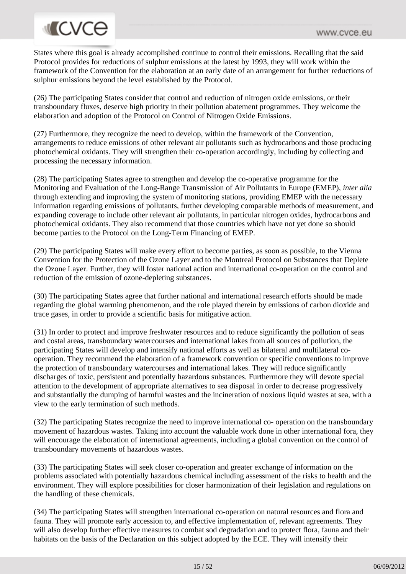# **MCVCe**

States where this goal is already accomplished continue to control their emissions. Recalling that the said Protocol provides for reductions of sulphur emissions at the latest by 1993, they will work within the framework of the Convention for the elaboration at an early date of an arrangement for further reductions of sulphur emissions beyond the level established by the Protocol.

(26) The participating States consider that control and reduction of nitrogen oxide emissions, or their transboundary fluxes, deserve high priority in their pollution abatement programmes. They welcome the elaboration and adoption of the Protocol on Control of Nitrogen Oxide Emissions.

(27) Furthermore, they recognize the need to develop, within the framework of the Convention, arrangements to reduce emissions of other relevant air pollutants such as hydrocarbons and those producing photochemical oxidants. They will strengthen their co-operation accordingly, including by collecting and processing the necessary information.

(28) The participating States agree to strengthen and develop the co-operative programme for the Monitoring and Evaluation of the Long-Range Transmission of Air Pollutants in Europe (EMEP), *inter alia* through extending and improving the system of monitoring stations, providing EMEP with the necessary information regarding emissions of pollutants, further developing comparable methods of measurement, and expanding coverage to include other relevant air pollutants, in particular nitrogen oxides, hydrocarbons and photochemical oxidants. They also recommend that those countries which have not yet done so should become parties to the Protocol on the Long-Term Financing of EMEP.

(29) The participating States will make every effort to become parties, as soon as possible, to the Vienna Convention for the Protection of the Ozone Layer and to the Montreal Protocol on Substances that Deplete the Ozone Layer. Further, they will foster national action and international co-operation on the control and reduction of the emission of ozone-depleting substances.

(30) The participating States agree that further national and international research efforts should be made regarding the global warming phenomenon, and the role played therein by emissions of carbon dioxide and trace gases, in order to provide a scientific basis for mitigative action.

(31) In order to protect and improve freshwater resources and to reduce significantly the pollution of seas and costal areas, transboundary watercourses and international lakes from all sources of pollution, the participating States will develop and intensify national efforts as well as bilateral and multilateral cooperation. They recommend the elaboration of a framework convention or specific conventions to improve the protection of transboundary watercourses and international lakes. They will reduce significantly discharges of toxic, persistent and potentially hazardous substances. Furthermore they will devote special attention to the development of appropriate alternatives to sea disposal in order to decrease progressively and substantially the dumping of harmful wastes and the incineration of noxious liquid wastes at sea, with a view to the early termination of such methods.

(32) The participating States recognize the need to improve international co- operation on the transboundary movement of hazardous wastes. Taking into account the valuable work done in other international fora, they will encourage the elaboration of international agreements, including a global convention on the control of transboundary movements of hazardous wastes.

(33) The participating States will seek closer co-operation and greater exchange of information on the problems associated with potentially hazardous chemical including assessment of the risks to health and the environment. They will explore possibilities for closer harmonization of their legislation and regulations on the handling of these chemicals.

(34) The participating States will strengthen international co-operation on natural resources and flora and fauna. They will promote early accession to, and effective implementation of, relevant agreements. They will also develop further effective measures to combat sod degradation and to protect flora, fauna and their habitats on the basis of the Declaration on this subject adopted by the ECE. They will intensify their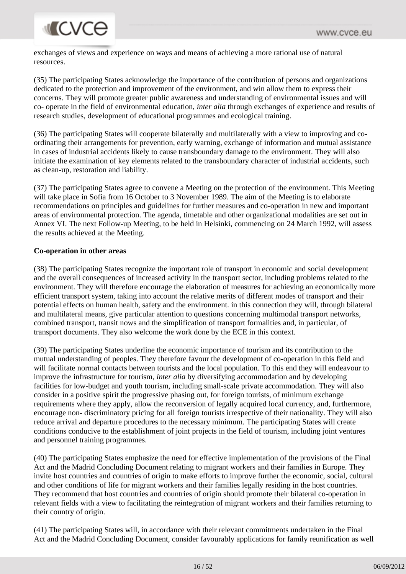# **INCVCE**

exchanges of views and experience on ways and means of achieving a more rational use of natural resources.

(35) The participating States acknowledge the importance of the contribution of persons and organizations dedicated to the protection and improvement of the environment, and win allow them to express their concerns. They will promote greater public awareness and understanding of environmental issues and will co- operate in the field of environmental education, *inter alia* through exchanges of experience and results of research studies, development of educational programmes and ecological training.

(36) The participating States will cooperate bilaterally and multilaterally with a view to improving and coordinating their arrangements for prevention, early warning, exchange of information and mutual assistance in cases of industrial accidents likely to cause transboundary damage to the environment. They will also initiate the examination of key elements related to the transboundary character of industrial accidents, such as clean-up, restoration and liability.

(37) The participating States agree to convene a Meeting on the protection of the environment. This Meeting will take place in Sofia from 16 October to 3 November 1989. The aim of the Meeting is to elaborate recommendations on principles and guidelines for further measures and co-operation in new and important areas of environmental protection. The agenda, timetable and other organizational modalities are set out in Annex VI. The next Follow-up Meeting, to be held in Helsinki, commencing on 24 March 1992, will assess the results achieved at the Meeting.

## **Co-operation in other areas**

(38) The participating States recognize the important role of transport in economic and social development and the overall consequences of increased activity in the transport sector, including problems related to the environment. They will therefore encourage the elaboration of measures for achieving an economically more efficient transport system, taking into account the relative merits of different modes of transport and their potential effects on human health, safety and the environment. in this connection they will, through bilateral and multilateral means, give particular attention to questions concerning multimodal transport networks, combined transport, transit nows and the simplification of transport formalities and, in particular, of transport documents. They also welcome the work done by the ECE in this context.

(39) The participating States underline the economic importance of tourism and its contribution to the mutual understanding of peoples. They therefore favour the development of co-operation in this field and will facilitate normal contacts between tourists and the local population. To this end they will endeavour to improve the infrastructure for tourism, *inter alia* by diversifying accommodation and by developing facilities for low-budget and youth tourism, including small-scale private accommodation. They will also consider in a positive spirit the progressive phasing out, for foreign tourists, of minimum exchange requirements where they apply, allow the reconversion of legally acquired local currency, and, furthermore, encourage non- discriminatory pricing for all foreign tourists irrespective of their nationality. They will also reduce arrival and departure procedures to the necessary minimum. The participating States will create conditions conducive to the establishment of joint projects in the field of tourism, including joint ventures and personnel training programmes.

(40) The participating States emphasize the need for effective implementation of the provisions of the Final Act and the Madrid Concluding Document relating to migrant workers and their families in Europe. They invite host countries and countries of origin to make efforts to improve further the economic, social, cultural and other conditions of life for migrant workers and their families legally residing in the host countries. They recommend that host countries and countries of origin should promote their bilateral co-operation in relevant fields with a view to facilitating the reintegration of migrant workers and their families returning to their country of origin.

(41) The participating States will, in accordance with their relevant commitments undertaken in the Final Act and the Madrid Concluding Document, consider favourably applications for family reunification as well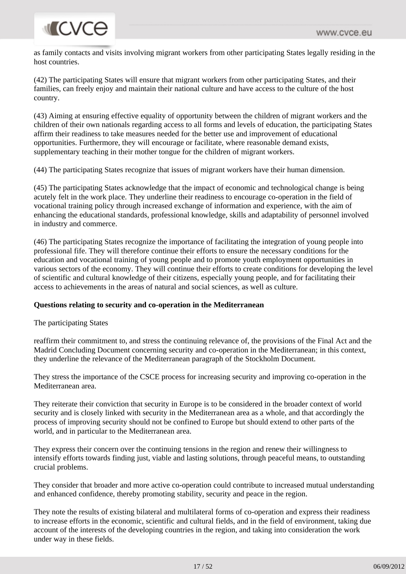# **INCVCE**

as family contacts and visits involving migrant workers from other participating States legally residing in the host countries.

(42) The participating States will ensure that migrant workers from other participating States, and their families, can freely enjoy and maintain their national culture and have access to the culture of the host country.

(43) Aiming at ensuring effective equality of opportunity between the children of migrant workers and the children of their own nationals regarding access to all forms and levels of education, the participating States affirm their readiness to take measures needed for the better use and improvement of educational opportunities. Furthermore, they will encourage or facilitate, where reasonable demand exists, supplementary teaching in their mother tongue for the children of migrant workers.

(44) The participating States recognize that issues of migrant workers have their human dimension.

(45) The participating States acknowledge that the impact of economic and technological change is being acutely felt in the work place. They underline their readiness to encourage co-operation in the field of vocational training policy through increased exchange of information and experience, with the aim of enhancing the educational standards, professional knowledge, skills and adaptability of personnel involved in industry and commerce.

(46) The participating States recognize the importance of facilitating the integration of young people into professional fife. They will therefore continue their efforts to ensure the necessary conditions for the education and vocational training of young people and to promote youth employment opportunities in various sectors of the economy. They will continue their efforts to create conditions for developing the level of scientific and cultural knowledge of their citizens, especially young people, and for facilitating their access to achievements in the areas of natural and social sciences, as well as culture.

### **Questions relating to security and co-operation in the Mediterranean**

The participating States

reaffirm their commitment to, and stress the continuing relevance of, the provisions of the Final Act and the Madrid Concluding Document concerning security and co-operation in the Mediterranean; in this context, they underline the relevance of the Mediterranean paragraph of the Stockholm Document.

They stress the importance of the CSCE process for increasing security and improving co-operation in the Mediterranean area.

They reiterate their conviction that security in Europe is to be considered in the broader context of world security and is closely linked with security in the Mediterranean area as a whole, and that accordingly the process of improving security should not be confined to Europe but should extend to other parts of the world, and in particular to the Mediterranean area.

They express their concern over the continuing tensions in the region and renew their willingness to intensify efforts towards finding just, viable and lasting solutions, through peaceful means, to outstanding crucial problems.

They consider that broader and more active co-operation could contribute to increased mutual understanding and enhanced confidence, thereby promoting stability, security and peace in the region.

They note the results of existing bilateral and multilateral forms of co-operation and express their readiness to increase efforts in the economic, scientific and cultural fields, and in the field of environment, taking due account of the interests of the developing countries in the region, and taking into consideration the work under way in these fields.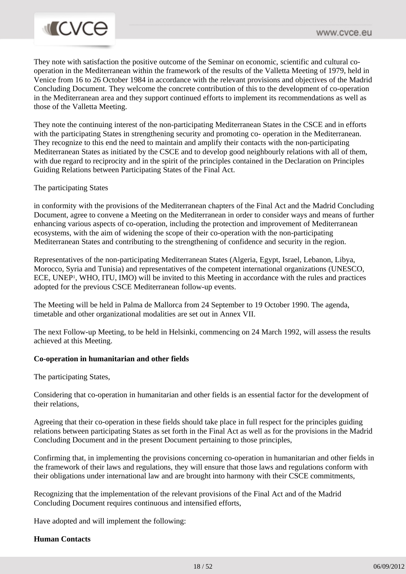

They note with satisfaction the positive outcome of the Seminar on economic, scientific and cultural cooperation in the Mediterranean within the framework of the results of the Valletta Meeting of 1979, held in Venice from 16 to 26 October 1984 in accordance with the relevant provisions and objectives of the Madrid Concluding Document. They welcome the concrete contribution of this to the development of co-operation in the Mediterranean area and they support continued efforts to implement its recommendations as well as those of the Valletta Meeting.

They note the continuing interest of the non-participating Mediterranean States in the CSCE and in efforts with the participating States in strengthening security and promoting co- operation in the Mediterranean. They recognize to this end the need to maintain and amplify their contacts with the non-participating Mediterranean States as initiated by the CSCE and to develop good neighbourly relations with all of them, with due regard to reciprocity and in the spirit of the principles contained in the Declaration on Principles Guiding Relations between Participating States of the Final Act.

#### The participating States

in conformity with the provisions of the Mediterranean chapters of the Final Act and the Madrid Concluding Document, agree to convene a Meeting on the Mediterranean in order to consider ways and means of further enhancing various aspects of co-operation, including the protection and improvement of Mediterranean ecosystems, with the aim of widening the scope of their co-operation with the non-participating Mediterranean States and contributing to the strengthening of confidence and security in the region.

Representatives of the non-participating Mediterranean States (Algeria, Egypt, Israel, Lebanon, Libya, Morocco, Syria and Tunisia) and representatives of the competent international organizations (UNESCO, ECE, UNEP<sup>1</sup>, WHO, ITU, IMO) will be invited to this Meeting in accordance with the rules and practices adopted for the previous CSCE Mediterranean follow-up events.

The Meeting will be held in Palma de Mallorca from 24 September to 19 October 1990. The agenda, timetable and other organizational modalities are set out in Annex VII.

The next Follow-up Meeting, to be held in Helsinki, commencing on 24 March 1992, will assess the results achieved at this Meeting.

### **Co-operation in humanitarian and other fields**

The participating States,

Considering that co-operation in humanitarian and other fields is an essential factor for the development of their relations,

Agreeing that their co-operation in these fields should take place in full respect for the principles guiding relations between participating States as set forth in the Final Act as well as for the provisions in the Madrid Concluding Document and in the present Document pertaining to those principles,

Confirming that, in implementing the provisions concerning co-operation in humanitarian and other fields in the framework of their laws and regulations, they will ensure that those laws and regulations conform with their obligations under international law and are brought into harmony with their CSCE commitments,

Recognizing that the implementation of the relevant provisions of the Final Act and of the Madrid Concluding Document requires continuous and intensified efforts,

Have adopted and will implement the following:

#### **Human Contacts**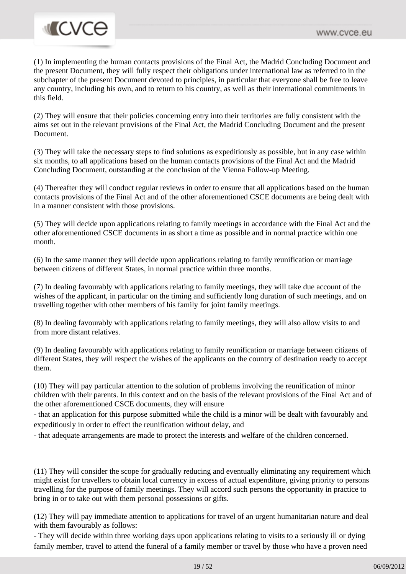

(1) In implementing the human contacts provisions of the Final Act, the Madrid Concluding Document and the present Document, they will fully respect their obligations under international law as referred to in the subchapter of the present Document devoted to principles, in particular that everyone shall be free to leave any country, including his own, and to return to his country, as well as their international commitments in this field.

(2) They will ensure that their policies concerning entry into their territories are fully consistent with the aims set out in the relevant provisions of the Final Act, the Madrid Concluding Document and the present Document.

(3) They will take the necessary steps to find solutions as expeditiously as possible, but in any case within six months, to all applications based on the human contacts provisions of the Final Act and the Madrid Concluding Document, outstanding at the conclusion of the Vienna Follow-up Meeting.

(4) Thereafter they will conduct regular reviews in order to ensure that all applications based on the human contacts provisions of the Final Act and of the other aforementioned CSCE documents are being dealt with in a manner consistent with those provisions.

(5) They will decide upon applications relating to family meetings in accordance with the Final Act and the other aforementioned CSCE documents in as short a time as possible and in normal practice within one month.

(6) In the same manner they will decide upon applications relating to family reunification or marriage between citizens of different States, in normal practice within three months.

(7) In dealing favourably with applications relating to family meetings, they will take due account of the wishes of the applicant, in particular on the timing and sufficiently long duration of such meetings, and on travelling together with other members of his family for joint family meetings.

(8) In dealing favourably with applications relating to family meetings, they will also allow visits to and from more distant relatives.

(9) In dealing favourably with applications relating to family reunification or marriage between citizens of different States, they will respect the wishes of the applicants on the country of destination ready to accept them.

(10) They will pay particular attention to the solution of problems involving the reunification of minor children with their parents. In this context and on the basis of the relevant provisions of the Final Act and of the other aforementioned CSCE documents, they will ensure

- that an application for this purpose submitted while the child is a minor will be dealt with favourably and expeditiously in order to effect the reunification without delay, and

- that adequate arrangements are made to protect the interests and welfare of the children concerned.

(11) They will consider the scope for gradually reducing and eventually eliminating any requirement which might exist for travellers to obtain local currency in excess of actual expenditure, giving priority to persons travelling for the purpose of family meetings. They will accord such persons the opportunity in practice to bring in or to take out with them personal possessions or gifts.

(12) They will pay immediate attention to applications for travel of an urgent humanitarian nature and deal with them favourably as follows:

- They will decide within three working days upon applications relating to visits to a seriously ill or dying family member, travel to attend the funeral of a family member or travel by those who have a proven need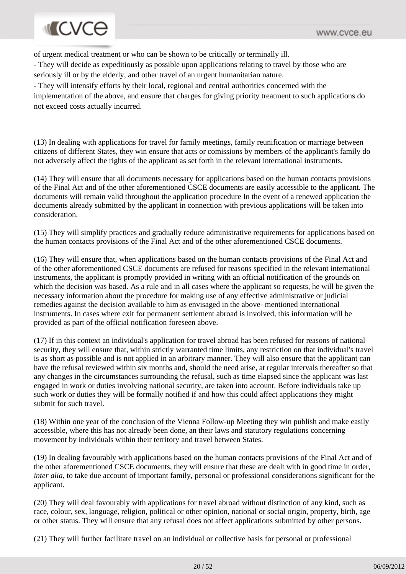

of urgent medical treatment or who can be shown to be critically or terminally ill.

- They will decide as expeditiously as possible upon applications relating to travel by those who are seriously ill or by the elderly, and other travel of an urgent humanitarian nature.

- They will intensify efforts by their local, regional and central authorities concerned with the implementation of the above, and ensure that charges for giving priority treatment to such applications do not exceed costs actually incurred.

(13) In dealing with applications for travel for family meetings, family reunification or marriage between citizens of different States, they win ensure that acts or comissions by members of the applicant's family do not adversely affect the rights of the applicant as set forth in the relevant international instruments.

(14) They will ensure that all documents necessary for applications based on the human contacts provisions of the Final Act and of the other aforementioned CSCE documents are easily accessible to the applicant. The documents will remain valid throughout the application procedure In the event of a renewed application the documents already submitted by the applicant in connection with previous applications will be taken into consideration.

(15) They will simplify practices and gradually reduce administrative requirements for applications based on the human contacts provisions of the Final Act and of the other aforementioned CSCE documents.

(16) They will ensure that, when applications based on the human contacts provisions of the Final Act and of the other aforementioned CSCE documents are refused for reasons specified in the relevant international instruments, the applicant is promptly provided in writing with an official notification of the grounds on which the decision was based. As a rule and in all cases where the applicant so requests, he will be given the necessary information about the procedure for making use of any effective administrative or judicial remedies against the decision available to him as envisaged in the above- mentioned international instruments. In cases where exit for permanent settlement abroad is involved, this information will be provided as part of the official notification foreseen above.

(17) If in this context an individual's application for travel abroad has been refused for reasons of national security, they will ensure that, within strictly warranted time limits, any restriction on that individual's travel is as short as possible and is not applied in an arbitrary manner. They will also ensure that the applicant can have the refusal reviewed within six months and, should the need arise, at regular intervals thereafter so that any changes in the circumstances surrounding the refusal, such as time elapsed since the applicant was last engaged in work or duties involving national security, are taken into account. Before individuals take up such work or duties they will be formally notified if and how this could affect applications they might submit for such travel.

(18) Within one year of the conclusion of the Vienna Follow-up Meeting they win publish and make easily accessible, where this has not already been done, an their laws and statutory regulations concerning movement by individuals within their territory and travel between States.

(19) In dealing favourably with applications based on the human contacts provisions of the Final Act and of the other aforementioned CSCE documents, they will ensure that these are dealt with in good time in order, *inter alia*, to take due account of important family, personal or professional considerations significant for the applicant.

(20) They will deal favourably with applications for travel abroad without distinction of any kind, such as race, colour, sex, language, religion, political or other opinion, national or social origin, property, birth, age or other status. They will ensure that any refusal does not affect applications submitted by other persons.

(21) They will further facilitate travel on an individual or collective basis for personal or professional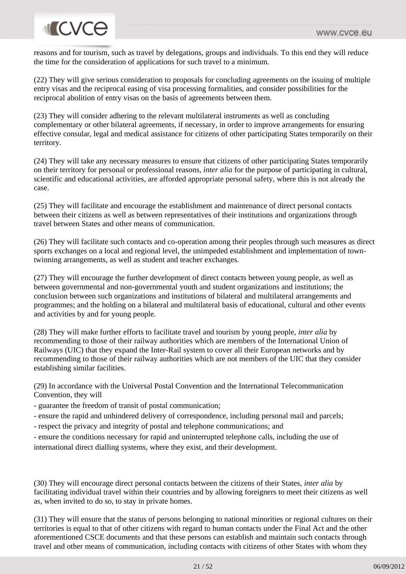# **INCVCe**

reasons and for tourism, such as travel by delegations, groups and individuals. To this end they will reduce the time for the consideration of applications for such travel to a minimum.

(22) They will give serious consideration to proposals for concluding agreements on the issuing of multiple entry visas and the reciprocal easing of visa processing formalities, and consider possibilities for the reciprocal abolition of entry visas on the basis of agreements between them.

(23) They will consider adhering to the relevant multilateral instruments as well as concluding complementary or other bilateral agreements, if necessary, in order to improve arrangements for ensuring effective consular, legal and medical assistance for citizens of other participating States temporarily on their territory.

(24) They will take any necessary measures to ensure that citizens of other participating States temporarily on their territory for personal or professional reasons, *inter alia* for the purpose of participating in cultural, scientific and educational activities, are afforded appropriate personal safety, where this is not already the case.

(25) They will facilitate and encourage the establishment and maintenance of direct personal contacts between their citizens as well as between representatives of their institutions and organizations through travel between States and other means of communication.

(26) They will facilitate such contacts and co-operation among their peoples through such measures as direct sports exchanges on a local and regional level, the unimpeded establishment and implementation of towntwinning arrangements, as well as student and teacher exchanges.

(27) They will encourage the further development of direct contacts between young people, as well as between governmental and non-governmental youth and student organizations and institutions; the conclusion between such organizations and institutions of bilateral and multilateral arrangements and programmes; and the holding on a bilateral and multilateral basis of educational, cultural and other events and activities by and for young people.

(28) They will make further efforts to facilitate travel and tourism by young people, *inter alia* by recommending to those of their railway authorities which are members of the International Union of Railways (UIC) that they expand the Inter-Rail system to cover all their European networks and by recommending to those of their railway authorities which are not members of the UIC that they consider establishing similar facilities.

(29) In accordance with the Universal Postal Convention and the International Telecommunication Convention, they will

- guarantee the freedom of transit of postal communication;

- ensure the rapid and unhindered delivery of correspondence, including personal mail and parcels;
- respect the privacy and integrity of postal and telephone communications; and

- ensure the conditions necessary for rapid and uninterrupted telephone calls, including the use of international direct dialling systems, where they exist, and their development.

(30) They will encourage direct personal contacts between the citizens of their States, *inter alia* by facilitating individual travel within their countries and by allowing foreigners to meet their citizens as well as, when invited to do so, to stay in private homes.

(31) They will ensure that the status of persons belonging to national minorities or regional cultures on their territories is equal to that of other citizens with regard to human contacts under the Final Act and the other aforementioned CSCE documents and that these persons can establish and maintain such contacts through travel and other means of communication, including contacts with citizens of other States with whom they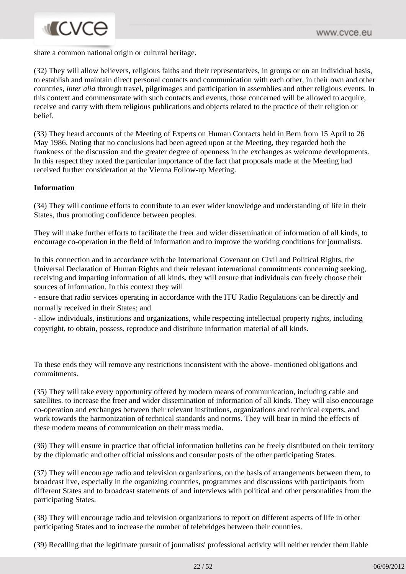share a common national origin or cultural heritage.

(32) They will allow believers, religious faiths and their representatives, in groups or on an individual basis, to establish and maintain direct personal contacts and communication with each other, in their own and other countries, *inter alia* through travel, pilgrimages and participation in assemblies and other religious events. In this context and commensurate with such contacts and events, those concerned will be allowed to acquire, receive and carry with them religious publications and objects related to the practice of their religion or belief.

(33) They heard accounts of the Meeting of Experts on Human Contacts held in Bern from 15 April to 26 May 1986. Noting that no conclusions had been agreed upon at the Meeting, they regarded both the frankness of the discussion and the greater degree of openness in the exchanges as welcome developments. In this respect they noted the particular importance of the fact that proposals made at the Meeting had received further consideration at the Vienna Follow-up Meeting.

#### **Information**

(34) They will continue efforts to contribute to an ever wider knowledge and understanding of life in their States, thus promoting confidence between peoples.

They will make further efforts to facilitate the freer and wider dissemination of information of all kinds, to encourage co-operation in the field of information and to improve the working conditions for journalists.

In this connection and in accordance with the International Covenant on Civil and Political Rights, the Universal Declaration of Human Rights and their relevant international commitments concerning seeking, receiving and imparting information of all kinds, they will ensure that individuals can freely choose their sources of information. In this context they will

- ensure that radio services operating in accordance with the ITU Radio Regulations can be directly and normally received in their States; and

- allow individuals, institutions and organizations, while respecting intellectual property rights, including copyright, to obtain, possess, reproduce and distribute information material of all kinds.

To these ends they will remove any restrictions inconsistent with the above- mentioned obligations and commitments.

(35) They will take every opportunity offered by modern means of communication, including cable and satellites. to increase the freer and wider dissemination of information of all kinds. They will also encourage co-operation and exchanges between their relevant institutions, organizations and technical experts, and work towards the harmonization of technical standards and norms. They will bear in mind the effects of these modem means of communication on their mass media.

(36) They will ensure in practice that official information bulletins can be freely distributed on their territory by the diplomatic and other official missions and consular posts of the other participating States.

(37) They will encourage radio and television organizations, on the basis of arrangements between them, to broadcast live, especially in the organizing countries, programmes and discussions with participants from different States and to broadcast statements of and interviews with political and other personalities from the participating States.

(38) They will encourage radio and television organizations to report on different aspects of life in other participating States and to increase the number of telebridges between their countries.

(39) Recalling that the legitimate pursuit of journalists' professional activity will neither render them liable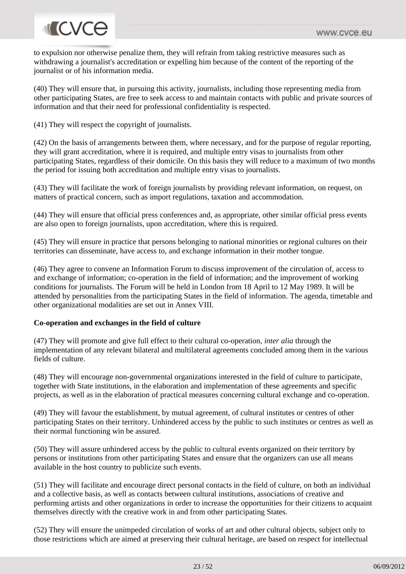# **INCVCe**

to expulsion nor otherwise penalize them, they will refrain from taking restrictive measures such as withdrawing a journalist's accreditation or expelling him because of the content of the reporting of the journalist or of his information media.

(40) They will ensure that, in pursuing this activity, journalists, including those representing media from other participating States, are free to seek access to and maintain contacts with public and private sources of information and that their need for professional confidentiality is respected.

(41) They will respect the copyright of journalists.

(42) On the basis of arrangements between them, where necessary, and for the purpose of regular reporting, they will grant accreditation, where it is required, and multiple entry visas to journalists from other participating States, regardless of their domicile. On this basis they will reduce to a maximum of two months the period for issuing both accreditation and multiple entry visas to journalists.

(43) They will facilitate the work of foreign journalists by providing relevant information, on request, on matters of practical concern, such as import regulations, taxation and accommodation.

(44) They will ensure that official press conferences and, as appropriate, other similar official press events are also open to foreign journalists, upon accreditation, where this is required.

(45) They will ensure in practice that persons belonging to national minorities or regional cultures on their territories can disseminate, have access to, and exchange information in their mother tongue.

(46) They agree to convene an Information Forum to discuss improvement of the circulation of, access to and exchange of information; co-operation in the field of information; and the improvement of working conditions for journalists. The Forum will be held in London from 18 April to 12 May 1989. It will be attended by personalities from the participating States in the field of information. The agenda, timetable and other organizational modalities are set out in Annex VIII.

# **Co-operation and exchanges in the field of culture**

(47) They will promote and give full effect to their cultural co-operation, *inter alia* through the implementation of any relevant bilateral and multilateral agreements concluded among them in the various fields of culture.

(48) They will encourage non-governmental organizations interested in the field of culture to participate, together with State institutions, in the elaboration and implementation of these agreements and specific projects, as well as in the elaboration of practical measures concerning cultural exchange and co-operation.

(49) They will favour the establishment, by mutual agreement, of cultural institutes or centres of other participating States on their territory. Unhindered access by the public to such institutes or centres as well as their normal functioning win be assured.

(50) They will assure unhindered access by the public to cultural events organized on their territory by persons or institutions from other participating States and ensure that the organizers can use all means available in the host country to publicize such events.

(51) They will facilitate and encourage direct personal contacts in the field of culture, on both an individual and a collective basis, as well as contacts between cultural institutions, associations of creative and performing artists and other organizations in order to increase the opportunities for their citizens to acquaint themselves directly with the creative work in and from other participating States.

(52) They will ensure the unimpeded circulation of works of art and other cultural objects, subject only to those restrictions which are aimed at preserving their cultural heritage, are based on respect for intellectual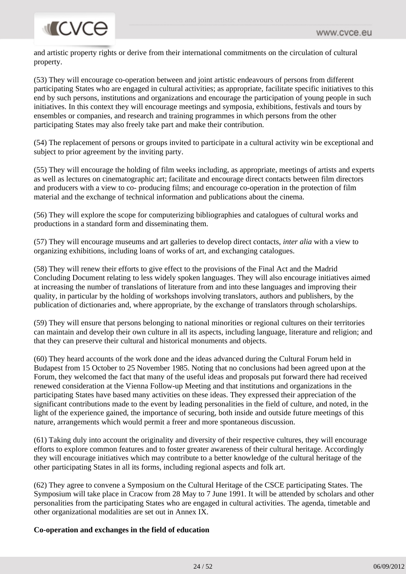# **ILCVCe**

and artistic property rights or derive from their international commitments on the circulation of cultural property.

(53) They will encourage co-operation between and joint artistic endeavours of persons from different participating States who are engaged in cultural activities; as appropriate, facilitate specific initiatives to this end by such persons, institutions and organizations and encourage the participation of young people in such initiatives. In this context they will encourage meetings and symposia, exhibitions, festivals and tours by ensembles or companies, and research and training programmes in which persons from the other participating States may also freely take part and make their contribution.

(54) The replacement of persons or groups invited to participate in a cultural activity win be exceptional and subject to prior agreement by the inviting party.

(55) They will encourage the holding of film weeks including, as appropriate, meetings of artists and experts as well as lectures on cinematographic art; facilitate and encourage direct contacts between film directors and producers with a view to co- producing films; and encourage co-operation in the protection of film material and the exchange of technical information and publications about the cinema.

(56) They will explore the scope for computerizing bibliographies and catalogues of cultural works and productions in a standard form and disseminating them.

(57) They will encourage museums and art galleries to develop direct contacts, *inter alia* with a view to organizing exhibitions, including loans of works of art, and exchanging catalogues.

(58) They will renew their efforts to give effect to the provisions of the Final Act and the Madrid Concluding Document relating to less widely spoken languages. They will also encourage initiatives aimed at increasing the number of translations of literature from and into these languages and improving their quality, in particular by the holding of workshops involving translators, authors and publishers, by the publication of dictionaries and, where appropriate, by the exchange of translators through scholarships.

(59) They will ensure that persons belonging to national minorities or regional cultures on their territories can maintain and develop their own culture in all its aspects, including language, literature and religion; and that they can preserve their cultural and historical monuments and objects.

(60) They heard accounts of the work done and the ideas advanced during the Cultural Forum held in Budapest from 15 October to 25 November 1985. Noting that no conclusions had been agreed upon at the Forum, they welcomed the fact that many of the useful ideas and proposals put forward there had received renewed consideration at the Vienna Follow-up Meeting and that institutions and organizations in the participating States have based many activities on these ideas. They expressed their appreciation of the significant contributions made to the event by leading personalities in the field of culture, and noted, in the light of the experience gained, the importance of securing, both inside and outside future meetings of this nature, arrangements which would permit a freer and more spontaneous discussion.

(61) Taking duly into account the originality and diversity of their respective cultures, they will encourage efforts to explore common features and to foster greater awareness of their cultural heritage. Accordingly they will encourage initiatives which may contribute to a better knowledge of the cultural heritage of the other participating States in all its forms, including regional aspects and folk art.

(62) They agree to convene a Symposium on the Cultural Heritage of the CSCE participating States. The Symposium will take place in Cracow from 28 May to 7 June 1991. It will be attended by scholars and other personalities from the participating States who are engaged in cultural activities. The agenda, timetable and other organizational modalities are set out in Annex IX.

# **Co-operation and exchanges in the field of education**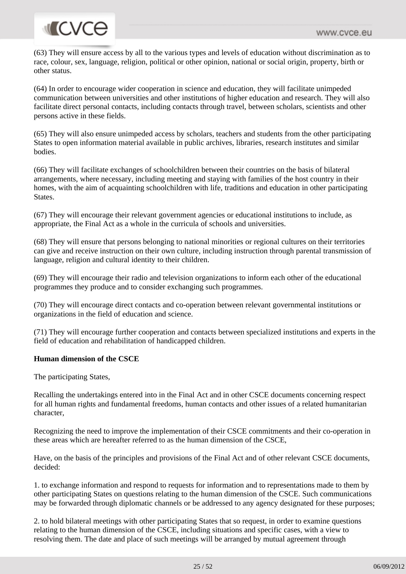# **INCVCe**

(63) They will ensure access by all to the various types and levels of education without discrimination as to race, colour, sex, language, religion, political or other opinion, national or social origin, property, birth or other status.

(64) In order to encourage wider cooperation in science and education, they will facilitate unimpeded communication between universities and other institutions of higher education and research. They will also facilitate direct personal contacts, including contacts through travel, between scholars, scientists and other persons active in these fields.

(65) They will also ensure unimpeded access by scholars, teachers and students from the other participating States to open information material available in public archives, libraries, research institutes and similar bodies.

(66) They will facilitate exchanges of schoolchildren between their countries on the basis of bilateral arrangements, where necessary, including meeting and staying with families of the host country in their homes, with the aim of acquainting schoolchildren with life, traditions and education in other participating States.

(67) They will encourage their relevant government agencies or educational institutions to include, as appropriate, the Final Act as a whole in the curricula of schools and universities.

(68) They will ensure that persons belonging to national minorities or regional cultures on their territories can give and receive instruction on their own culture, including instruction through parental transmission of language, religion and cultural identity to their children.

(69) They will encourage their radio and television organizations to inform each other of the educational programmes they produce and to consider exchanging such programmes.

(70) They will encourage direct contacts and co-operation between relevant governmental institutions or organizations in the field of education and science.

(71) They will encourage further cooperation and contacts between specialized institutions and experts in the field of education and rehabilitation of handicapped children.

# **Human dimension of the CSCE**

The participating States,

Recalling the undertakings entered into in the Final Act and in other CSCE documents concerning respect for all human rights and fundamental freedoms, human contacts and other issues of a related humanitarian character,

Recognizing the need to improve the implementation of their CSCE commitments and their co-operation in these areas which are hereafter referred to as the human dimension of the CSCE,

Have, on the basis of the principles and provisions of the Final Act and of other relevant CSCE documents, decided:

1. to exchange information and respond to requests for information and to representations made to them by other participating States on questions relating to the human dimension of the CSCE. Such communications may be forwarded through diplomatic channels or be addressed to any agency designated for these purposes;

2. to hold bilateral meetings with other participating States that so request, in order to examine questions relating to the human dimension of the CSCE, including situations and specific cases, with a view to resolving them. The date and place of such meetings will be arranged by mutual agreement through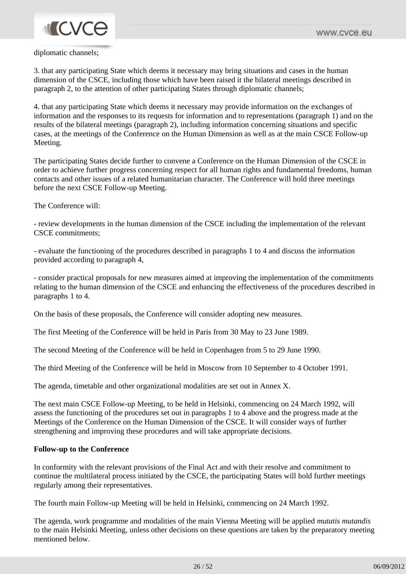# **MICVCO**

### diplomatic channels;

3. that any participating State which deems it necessary may bring situations and cases in the human dimension of the CSCE, including those which have been raised it the bilateral meetings described in paragraph 2, to the attention of other participating States through diplomatic channels;

4. that any participating State which deems it necessary may provide information on the exchanges of information and the responses to its requests for information and to representations (paragraph 1) and on the results of the bilateral meetings (paragraph 2), including information concerning situations and specific cases, at the meetings of the Conference on the Human Dimension as well as at the main CSCE Follow-up Meeting.

The participating States decide further to convene a Conference on the Human Dimension of the CSCE in order to achieve further progress concerning respect for all human rights and fundamental freedoms, human contacts and other issues of a related humanitarian character. The Conference will hold three meetings before the next CSCE Follow-up Meeting.

The Conference will:

- review developments in the human dimension of the CSCE including the implementation of the relevant CSCE commitments;

- evaluate the functioning of the procedures described in paragraphs 1 to 4 and discuss the information provided according to paragraph 4,

- consider practical proposals for new measures aimed at improving the implementation of the commitments relating to the human dimension of the CSCE and enhancing the effectiveness of the procedures described in paragraphs 1 to 4.

On the basis of these proposals, the Conference will consider adopting new measures.

The first Meeting of the Conference will be held in Paris from 30 May to 23 June 1989.

The second Meeting of the Conference will be held in Copenhagen from 5 to 29 June 1990.

The third Meeting of the Conference will be held in Moscow from 10 September to 4 October 1991.

The agenda, timetable and other organizational modalities are set out in Annex X.

The next main CSCE Follow-up Meeting, to be held in Helsinki, commencing on 24 March 1992, will assess the functioning of the procedures set out in paragraphs 1 to 4 above and the progress made at the Meetings of the Conference on the Human Dimension of the CSCE. It will consider ways of further strengthening and improving these procedures and will take appropriate decisions.

# **Follow-up to the Conference**

In conformity with the relevant provisions of the Final Act and with their resolve and commitment to continue the multilateral process initiated by the CSCE, the participating States will hold further meetings regularly among their representatives.

The fourth main Follow-up Meeting will be held in Helsinki, commencing on 24 March 1992.

The agenda, work programme and modalities of the main Vienna Meeting will be applied *mutatis mutandis* to the main Helsinki Meeting, unless other decisions on these questions are taken by the preparatory meeting mentioned below.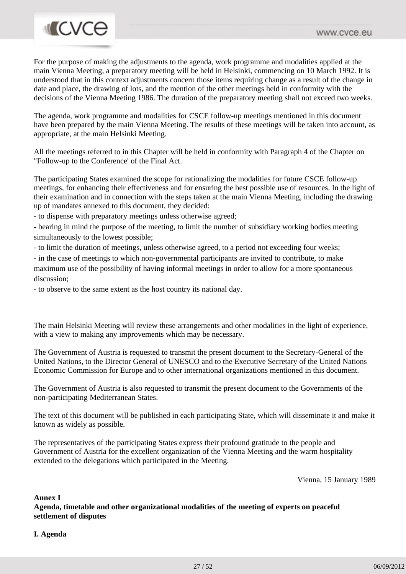

For the purpose of making the adjustments to the agenda, work programme and modalities applied at the main Vienna Meeting, a preparatory meeting will be held in Helsinki, commencing on 10 March 1992. It is understood that in this context adjustments concern those items requiring change as a result of the change in date and place, the drawing of lots, and the mention of the other meetings held in conformity with the decisions of the Vienna Meeting 1986. The duration of the preparatory meeting shall not exceed two weeks.

The agenda, work programme and modalities for CSCE follow-up meetings mentioned in this document have been prepared by the main Vienna Meeting. The results of these meetings will be taken into account, as appropriate, at the main Helsinki Meeting.

All the meetings referred to in this Chapter will be held in conformity with Paragraph 4 of the Chapter on "Follow-up to the Conference' of the Final Act.

The participating States examined the scope for rationalizing the modalities for future CSCE follow-up meetings, for enhancing their effectiveness and for ensuring the best possible use of resources. In the light of their examination and in connection with the steps taken at the main Vienna Meeting, including the drawing up of mandates annexed to this document, they decided:

- to dispense with preparatory meetings unless otherwise agreed;

- bearing in mind the purpose of the meeting, to limit the number of subsidiary working bodies meeting simultaneously to the lowest possible;
- to limit the duration of meetings, unless otherwise agreed, to a period not exceeding four weeks;

- in the case of meetings to which non-governmental participants are invited to contribute, to make maximum use of the possibility of having informal meetings in order to allow for a more spontaneous discussion;

- to observe to the same extent as the host country its national day.

The main Helsinki Meeting will review these arrangements and other modalities in the light of experience, with a view to making any improvements which may be necessary.

The Government of Austria is requested to transmit the present document to the Secretary-General of the United Nations, to the Director General of UNESCO and to the Executive Secretary of the United Nations Economic Commission for Europe and to other international organizations mentioned in this document.

The Government of Austria is also requested to transmit the present document to the Governments of the non-participating Mediterranean States.

The text of this document will be published in each participating State, which will disseminate it and make it known as widely as possible.

The representatives of the participating States express their profound gratitude to the people and Government of Austria for the excellent organization of the Vienna Meeting and the warm hospitality extended to the delegations which participated in the Meeting.

Vienna, 15 January 1989

**Annex I**

**Agenda, timetable and other organizational modalities of the meeting of experts on peaceful settlement of disputes**

#### **I. Agenda**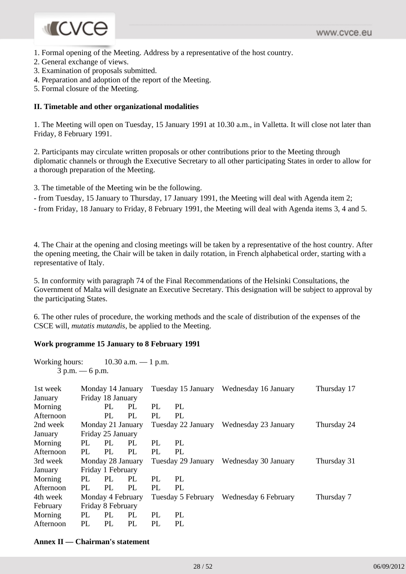

1. Formal opening of the Meeting. Address by a representative of the host country.

- 2. General exchange of views.
- 3. Examination of proposals submitted.
- 4. Preparation and adoption of the report of the Meeting.
- 5. Formal closure of the Meeting.

#### **II. Timetable and other organizational modalities**

1. The Meeting will open on Tuesday, 15 January 1991 at 10.30 a.m., in Valletta. It will close not later than Friday, 8 February 1991.

2. Participants may circulate written proposals or other contributions prior to the Meeting through diplomatic channels or through the Executive Secretary to all other participating States in order to allow for a thorough preparation of the Meeting.

3. The timetable of the Meeting win be the following.

- from Tuesday, 15 January to Thursday, 17 January 1991, the Meeting will deal with Agenda item 2;
- from Friday, 18 January to Friday, 8 February 1991, the Meeting will deal with Agenda items 3, 4 and 5.

4. The Chair at the opening and closing meetings will be taken by a representative of the host country. After the opening meeting, the Chair will be taken in daily rotation, in French alphabetical order, starting with a representative of Italy.

5. In conformity with paragraph 74 of the Final Recommendations of the Helsinki Consultations, the Government of Malta will designate an Executive Secretary. This designation will be subject to approval by the participating States.

6. The other rules of procedure, the working methods and the scale of distribution of the expenses of the CSCE will, *mutatis mutandis*, be applied to the Meeting.

#### **Work programme 15 January to 8 February 1991**

| Working hours:    |                   |                   | 10.30 a.m. $-1$ p.m. |    |                    |                                         |             |
|-------------------|-------------------|-------------------|----------------------|----|--------------------|-----------------------------------------|-------------|
| $3 p.m. - 6 p.m.$ |                   |                   |                      |    |                    |                                         |             |
| 1st week          |                   |                   | Monday 14 January    |    |                    | Tuesday 15 January Wednesday 16 January | Thursday 17 |
| January           |                   | Friday 18 January |                      |    |                    |                                         |             |
| Morning           |                   | PI.               | PL                   | PL | PL                 |                                         |             |
| Afternoon         |                   | PL                | PL                   | PL | PL                 |                                         |             |
| 2nd week          |                   |                   | Monday 21 January    |    |                    | Tuesday 22 January Wednesday 23 January | Thursday 24 |
| January           | Friday 25 January |                   |                      |    |                    |                                         |             |
| Morning           | PL                | PL                | PL                   | PL | PL                 |                                         |             |
| Afternoon         | PL                | PL                | PL                   | PL | PL                 |                                         |             |
| 3rd week          |                   | Monday 28 January |                      |    | Tuesday 29 January | Wednesday 30 January                    | Thursday 31 |
| January           |                   | Friday 1 February |                      |    |                    |                                         |             |
| Morning           | PL.               | PL                | PL                   | PL | PL                 |                                         |             |
| Afternoon         | PL                | PL                | PL                   | PL | PL                 |                                         |             |
| 4th week          |                   |                   | Monday 4 February    |    | Tuesday 5 February | Wednesday 6 February                    | Thursday 7  |
| February          |                   | Friday 8 February |                      |    |                    |                                         |             |
| Morning           | PL                | PL                | PL                   | PL | PL                 |                                         |             |
| Afternoon         | PL                | PL                | PL                   | PL | PL                 |                                         |             |
|                   |                   |                   |                      |    |                    |                                         |             |

#### **Annex II — Chairman's statement**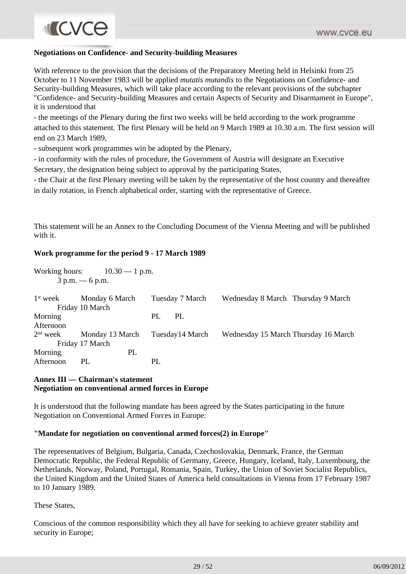# **MICVCO**

### **Negotiations on Confidence- and Security-building Measures**

With reference to the provision that the decisions of the Preparatory Meeting held in Helsinki from 25 October to 11 November 1983 will be applied *mutatis mutandis* to the Negotiations on Confidence- and Security-building Measures, which will take place according to the relevant provisions of the subchapter "Confidence- and Security-building Measures and certain Aspects of Security and Disarmament in Europe", it is understood that

- the meetings of the Plenary during the first two weeks will be held according to the work programme attached to this statement. The first Plenary will be held on 9 March 1989 at 10.30 a.m. The first session will end on 23 March 1989,

- subsequent work programmes win be adopted by the Plenary,

- in conformity with the rules of procedure, the Government of Austria will designate an Executive

Secretary, the designation being subject to approval by the participating States,

- the Chair at the first Plenary meeting will be taken by the representative of the host country and thereafter in daily rotation, in French alphabetical order, starting with the representative of Greece.

This statement will be an Annex to the Concluding Document of the Vienna Meeting and will be published with it.

# **Work programme for the period 9 - 17 March 1989**

|                      | Working hours: $10.30 - 1$ p.m.<br>$3 p.m. - 6 p.m.$ |                 |                                      |
|----------------------|------------------------------------------------------|-----------------|--------------------------------------|
| $1st$ week           | Monday 6 March<br>Friday 10 March                    | Tuesday 7 March | Wednesday 8 March Thursday 9 March   |
| Morning<br>Afternoon |                                                      | PL<br>PL        |                                      |
| $2nd$ week           | Monday 13 March<br>Friday 17 March                   | Tuesday14 March | Wednesday 15 March Thursday 16 March |
| Morning              | PL                                                   |                 |                                      |
| Afternoon            | PL                                                   | PL              |                                      |

## **Annex III — Chairman's statement Negotiation on conventional armed forces in Europe**

It is understood that the following mandate has been agreed by the States participating in the future Negotiation on Conventional Armed Forces in Europe:

# **"Mandate for negotiation on conventional armed forces(2) in Europe"**

The representatives of Belgium, Bulgaria, Canada, Czechoslovakia, Denmark, France, the German Democratic Republic, the Federal Republic of Germany, Greece, Hungary, Iceland, Italy, Luxembourg, the Netherlands, Norway, Poland, Portugal, Romania, Spain, Turkey, the Union of Soviet Socialist Republics, the United Kingdom and the United States of America held consultations in Vienna from 17 February 1987 to 10 January 1989.

These States,

Conscious of the common responsibility which they all have for seeking to achieve greater stability and security in Europe;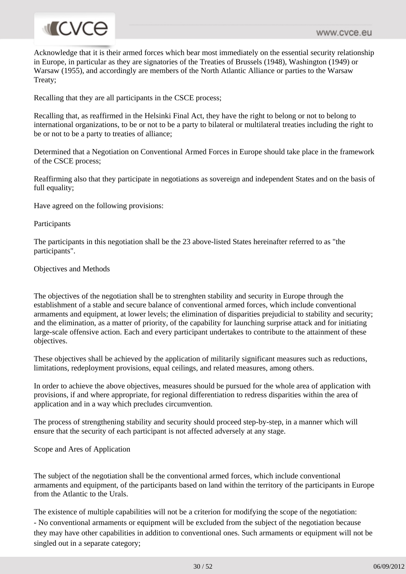

Acknowledge that it is their armed forces which bear most immediately on the essential security relationship in Europe, in particular as they are signatories of the Treaties of Brussels (1948), Washington (1949) or Warsaw (1955), and accordingly are members of the North Atlantic Alliance or parties to the Warsaw Treaty;

Recalling that they are all participants in the CSCE process;

Recalling that, as reaffirmed in the Helsinki Final Act, they have the right to belong or not to belong to international organizations, to be or not to be a party to bilateral or multilateral treaties including the right to be or not to be a party to treaties of alliance;

Determined that a Negotiation on Conventional Armed Forces in Europe should take place in the framework of the CSCE process;

Reaffirming also that they participate in negotiations as sovereign and independent States and on the basis of full equality;

Have agreed on the following provisions:

Participants

The participants in this negotiation shall be the 23 above-listed States hereinafter referred to as "the participants".

Objectives and Methods

The objectives of the negotiation shall be to strenghten stability and security in Europe through the establishment of a stable and secure balance of conventional armed forces, which include conventional armaments and equipment, at lower levels; the elimination of disparities prejudicial to stability and security; and the elimination, as a matter of priority, of the capability for launching surprise attack and for initiating large-scale offensive action. Each and every participant undertakes to contribute to the attainment of these objectives.

These objectives shall be achieved by the application of militarily significant measures such as reductions, limitations, redeployment provisions, equal ceilings, and related measures, among others.

In order to achieve the above objectives, measures should be pursued for the whole area of application with provisions, if and where appropriate, for regional differentiation to redress disparities within the area of application and in a way which precludes circumvention.

The process of strengthening stability and security should proceed step-by-step, in a manner which will ensure that the security of each participant is not affected adversely at any stage.

Scope and Ares of Application

The subject of the negotiation shall be the conventional armed forces, which include conventional armaments and equipment, of the participants based on land within the territory of the participants in Europe from the Atlantic to the Urals.

The existence of multiple capabilities will not be a criterion for modifying the scope of the negotiation: - No conventional armaments or equipment will be excluded from the subject of the negotiation because they may have other capabilities in addition to conventional ones. Such armaments or equipment will not be singled out in a separate category;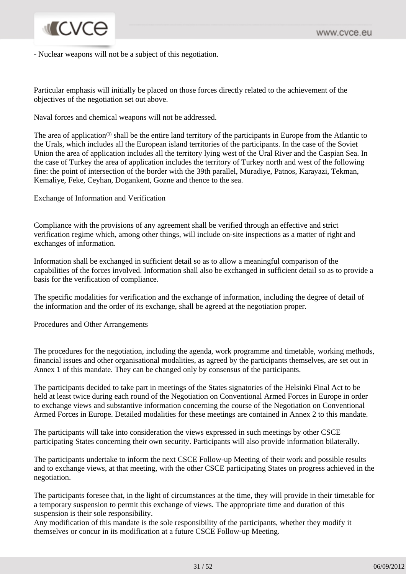# **INCVCE**

- Nuclear weapons will not be a subject of this negotiation.

Particular emphasis will initially be placed on those forces directly related to the achievement of the objectives of the negotiation set out above.

Naval forces and chemical weapons will not be addressed.

The area of application<sup>(3)</sup> shall be the entire land territory of the participants in Europe from the Atlantic to the Urals, which includes all the European island territories of the participants. In the case of the Soviet Union the area of application includes all the territory lying west of the Ural River and the Caspian Sea. In the case of Turkey the area of application includes the territory of Turkey north and west of the following fine: the point of intersection of the border with the 39th parallel, Muradiye, Patnos, Karayazi, Tekman, Kemaliye, Feke, Ceyhan, Dogankent, Gozne and thence to the sea.

Exchange of Information and Verification

Compliance with the provisions of any agreement shall be verified through an effective and strict verification regime which, among other things, will include on-site inspections as a matter of right and exchanges of information.

Information shall be exchanged in sufficient detail so as to allow a meaningful comparison of the capabilities of the forces involved. Information shall also be exchanged in sufficient detail so as to provide a basis for the verification of compliance.

The specific modalities for verification and the exchange of information, including the degree of detail of the information and the order of its exchange, shall be agreed at the negotiation proper.

Procedures and Other Arrangements

The procedures for the negotiation, including the agenda, work programme and timetable, working methods, financial issues and other organisational modalities, as agreed by the participants themselves, are set out in Annex 1 of this mandate. They can be changed only by consensus of the participants.

The participants decided to take part in meetings of the States signatories of the Helsinki Final Act to be held at least twice during each round of the Negotiation on Conventional Armed Forces in Europe in order to exchange views and substantive information concerning the course of the Negotiation on Conventional Armed Forces in Europe. Detailed modalities for these meetings are contained in Annex 2 to this mandate.

The participants will take into consideration the views expressed in such meetings by other CSCE participating States concerning their own security. Participants will also provide information bilaterally.

The participants undertake to inform the next CSCE Follow-up Meeting of their work and possible results and to exchange views, at that meeting, with the other CSCE participating States on progress achieved in the negotiation.

The participants foresee that, in the light of circumstances at the time, they will provide in their timetable for a temporary suspension to permit this exchange of views. The appropriate time and duration of this suspension is their sole responsibility.

Any modification of this mandate is the sole responsibility of the participants, whether they modify it themselves or concur in its modification at a future CSCE Follow-up Meeting.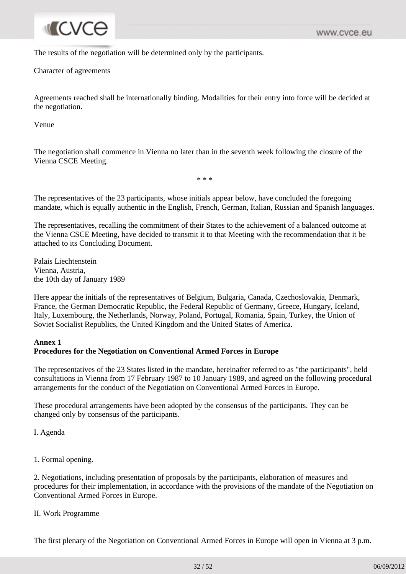

The results of the negotiation will be determined only by the participants.

Character of agreements

Agreements reached shall be internationally binding. Modalities for their entry into force will be decided at the negotiation.

Venue

The negotiation shall commence in Vienna no later than in the seventh week following the closure of the Vienna CSCE Meeting.

\* \* \*

The representatives of the 23 participants, whose initials appear below, have concluded the foregoing mandate, which is equally authentic in the English, French, German, Italian, Russian and Spanish languages.

The representatives, recalling the commitment of their States to the achievement of a balanced outcome at the Vienna CSCE Meeting, have decided to transmit it to that Meeting with the recommendation that it be attached to its Concluding Document.

Palais Liechtenstein Vienna, Austria, the 10th day of January 1989

Here appear the initials of the representatives of Belgium, Bulgaria, Canada, Czechoslovakia, Denmark, France, the German Democratic Republic, the Federal Republic of Germany, Greece, Hungary, Iceland, Italy, Luxembourg, the Netherlands, Norway, Poland, Portugal, Romania, Spain, Turkey, the Union of Soviet Socialist Republics, the United Kingdom and the United States of America.

### **Annex 1**

### **Procedures for the Negotiation on Conventional Armed Forces in Europe**

The representatives of the 23 States listed in the mandate, hereinafter referred to as "the participants", held consultations in Vienna from 17 February 1987 to 10 January 1989, and agreed on the following procedural arrangements for the conduct of the Negotiation on Conventional Armed Forces in Europe.

These procedural arrangements have been adopted by the consensus of the participants. They can be changed only by consensus of the participants.

I. Agenda

1. Formal opening.

2. Negotiations, including presentation of proposals by the participants, elaboration of measures and procedures for their implementation, in accordance with the provisions of the mandate of the Negotiation on Conventional Armed Forces in Europe.

#### II. Work Programme

The first plenary of the Negotiation on Conventional Armed Forces in Europe will open in Vienna at 3 p.m.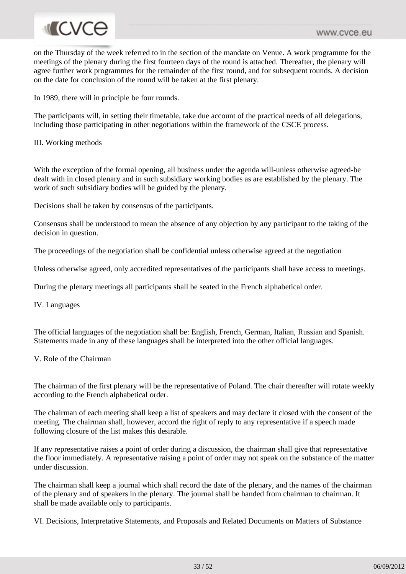

on the Thursday of the week referred to in the section of the mandate on Venue. A work programme for the meetings of the plenary during the first fourteen days of the round is attached. Thereafter, the plenary will agree further work programmes for the remainder of the first round, and for subsequent rounds. A decision on the date for conclusion of the round will be taken at the first plenary.

In 1989, there will in principle be four rounds.

The participants will, in setting their timetable, take due account of the practical needs of all delegations, including those participating in other negotiations within the framework of the CSCE process.

III. Working methods

With the exception of the formal opening, all business under the agenda will-unless otherwise agreed-be dealt with in closed plenary and in such subsidiary working bodies as are established by the plenary. The work of such subsidiary bodies will be guided by the plenary.

Decisions shall be taken by consensus of the participants.

Consensus shall be understood to mean the absence of any objection by any participant to the taking of the decision in question.

The proceedings of the negotiation shall be confidential unless otherwise agreed at the negotiation

Unless otherwise agreed, only accredited representatives of the participants shall have access to meetings.

During the plenary meetings all participants shall be seated in the French alphabetical order.

IV. Languages

The official languages of the negotiation shall be: English, French, German, Italian, Russian and Spanish. Statements made in any of these languages shall be interpreted into the other official languages.

V. Role of the Chairman

The chairman of the first plenary will be the representative of Poland. The chair thereafter will rotate weekly according to the French alphabetical order.

The chairman of each meeting shall keep a list of speakers and may declare it closed with the consent of the meeting. The chairman shall, however, accord the right of reply to any representative if a speech made following closure of the list makes this desirable.

If any representative raises a point of order during a discussion, the chairman shall give that representative the floor immediately. A representative raising a point of order may not speak on the substance of the matter under discussion.

The chairman shall keep a journal which shall record the date of the plenary, and the names of the chairman of the plenary and of speakers in the plenary. The journal shall be handed from chairman to chairman. It shall be made available only to participants.

VI. Decisions, Interpretative Statements, and Proposals and Related Documents on Matters of Substance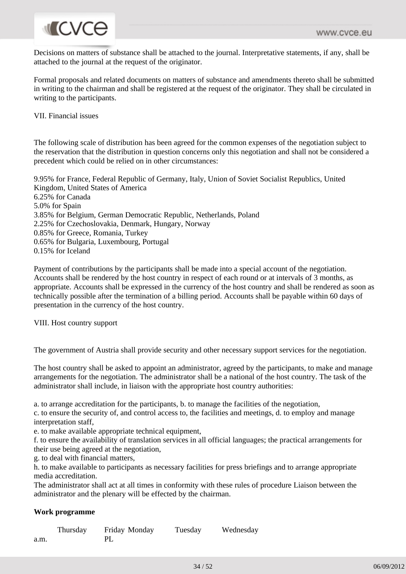# **INCVCE**

Decisions on matters of substance shall be attached to the journal. Interpretative statements, if any, shall be attached to the journal at the request of the originator.

Formal proposals and related documents on matters of substance and amendments thereto shall be submitted in writing to the chairman and shall be registered at the request of the originator. They shall be circulated in writing to the participants.

VII. Financial issues

The following scale of distribution has been agreed for the common expenses of the negotiation subject to the reservation that the distribution in question concerns only this negotiation and shall not be considered a precedent which could be relied on in other circumstances:

9.95% for France, Federal Republic of Germany, Italy, Union of Soviet Socialist Republics, United Kingdom, United States of America 6.25% for Canada 5.0% for Spain 3.85% for Belgium, German Democratic Republic, Netherlands, Poland 2.25% for Czechoslovakia, Denmark, Hungary, Norway 0.85% for Greece, Romania, Turkey 0.65% for Bulgaria, Luxembourg, Portugal 0.15% for Iceland

Payment of contributions by the participants shall be made into a special account of the negotiation. Accounts shall be rendered by the host country in respect of each round or at intervals of 3 months, as appropriate. Accounts shall be expressed in the currency of the host country and shall be rendered as soon as technically possible after the termination of a billing period. Accounts shall be payable within 60 days of presentation in the currency of the host country.

VIII. Host country support

The government of Austria shall provide security and other necessary support services for the negotiation.

The host country shall be asked to appoint an administrator, agreed by the participants, to make and manage arrangements for the negotiation. The administrator shall be a national of the host country. The task of the administrator shall include, in liaison with the appropriate host country authorities:

a. to arrange accreditation for the participants, b. to manage the facilities of the negotiation,

c. to ensure the security of, and control access to, the facilities and meetings, d. to employ and manage interpretation staff,

e. to make available appropriate technical equipment,

f. to ensure the availability of translation services in all official languages; the practical arrangements for their use being agreed at the negotiation,

g. to deal with financial matters,

h. to make available to participants as necessary facilities for press briefings and to arrange appropriate media accreditation.

The administrator shall act at all times in conformity with these rules of procedure Liaison between the administrator and the plenary will be effected by the chairman.

# **Work programme**

|      | Thursday | Friday Monday | Tuesday | Wednesday |
|------|----------|---------------|---------|-----------|
| a.m. |          |               |         |           |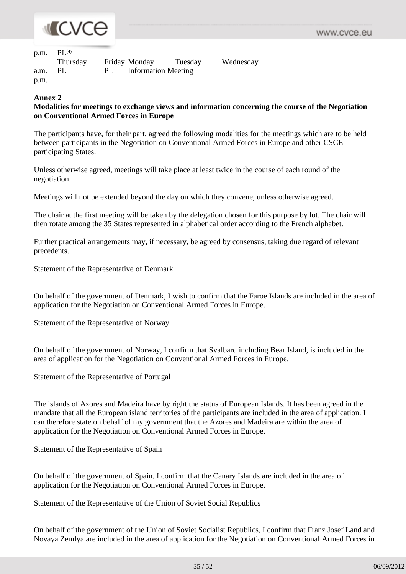

 $p.m.$   $PL^{(4)}$ 

|      | Thursday |    | Friday Monday              | Tuesday | Wednesday |
|------|----------|----|----------------------------|---------|-----------|
| a.m. |          | PL | <b>Information Meeting</b> |         |           |
| p.m. |          |    |                            |         |           |

### **Annex 2**

### **Modalities for meetings to exchange views and information concerning the course of the Negotiation on Conventional Armed Forces in Europe**

The participants have, for their part, agreed the following modalities for the meetings which are to be held between participants in the Negotiation on Conventional Armed Forces in Europe and other CSCE participating States.

Unless otherwise agreed, meetings will take place at least twice in the course of each round of the negotiation.

Meetings will not be extended beyond the day on which they convene, unless otherwise agreed.

The chair at the first meeting will be taken by the delegation chosen for this purpose by lot. The chair will then rotate among the 35 States represented in alphabetical order according to the French alphabet.

Further practical arrangements may, if necessary, be agreed by consensus, taking due regard of relevant precedents.

Statement of the Representative of Denmark

On behalf of the government of Denmark, I wish to confirm that the Faroe Islands are included in the area of application for the Negotiation on Conventional Armed Forces in Europe.

Statement of the Representative of Norway

On behalf of the government of Norway, I confirm that Svalbard including Bear Island, is included in the area of application for the Negotiation on Conventional Armed Forces in Europe.

Statement of the Representative of Portugal

The islands of Azores and Madeira have by right the status of European Islands. It has been agreed in the mandate that all the European island territories of the participants are included in the area of application. I can therefore state on behalf of my government that the Azores and Madeira are within the area of application for the Negotiation on Conventional Armed Forces in Europe.

Statement of the Representative of Spain

On behalf of the government of Spain, I confirm that the Canary Islands are included in the area of application for the Negotiation on Conventional Armed Forces in Europe.

Statement of the Representative of the Union of Soviet Social Republics

On behalf of the government of the Union of Soviet Socialist Republics, I confirm that Franz Josef Land and Novaya Zemlya are included in the area of application for the Negotiation on Conventional Armed Forces in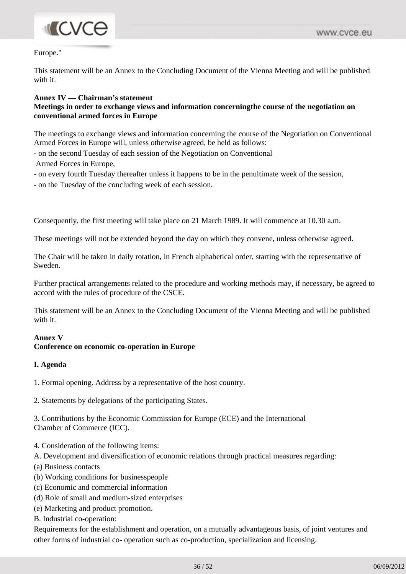# **MICVCO**

Europe."

This statement will be an Annex to the Concluding Document of the Vienna Meeting and will be published with it.

## **Annex IV — Chairman's statement**

## **Meetings in order to exchange views and information concerningthe course of the negotiation on conventional armed forces in Europe**

The meetings to exchange views and information concerning the course of the Negotiation on Conventional Armed Forces in Europe will, unless otherwise agreed, be held as follows:

- on the second Tuesday of each session of the Negotiation on Conventional Armed Forces in Europe,
- on every fourth Tuesday thereafter unless it happens to be in the penultimate week of the session,
- on the Tuesday of the concluding week of each session.

Consequently, the first meeting will take place on 21 March 1989. It will commence at 10.30 a.m.

These meetings will not be extended beyond the day on which they convene, unless otherwise agreed.

The Chair will be taken in daily rotation, in French alphabetical order, starting with the representative of Sweden.

Further practical arrangements related to the procedure and working methods may, if necessary, be agreed to accord with the rules of procedure of the CSCE.

This statement will be an Annex to the Concluding Document of the Vienna Meeting and will be published with it.

# **Annex V**

# **Conference on economic co-operation in Europe**

### **I. Agenda**

1. Formal opening. Address by a representative of the host country.

2. Statements by delegations of the participating States.

3. Contributions by the Economic Commission for Europe (ECE) and the International Chamber of Commerce (ICC).

4. Consideration of the following items:

A. Development and diversification of economic relations through practical measures regarding:

- (a) Business contacts
- (b) Working conditions for businesspeople
- (c) Economic and commercial information
- (d) Role of small and medium-sized enterprises
- (e) Marketing and product promotion.
- B. Industrial co-operation:

Requirements for the establishment and operation, on a mutually advantageous basis, of joint ventures and other forms of industrial co- operation such as co-production, specialization and licensing.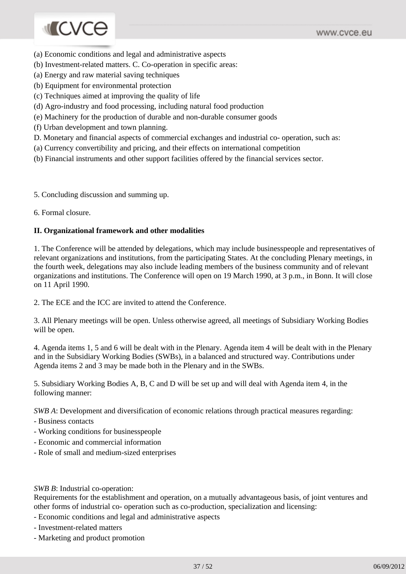# **MCVCe**

- (a) Economic conditions and legal and administrative aspects
- (b) Investment-related matters. C. Co-operation in specific areas:
- (a) Energy and raw material saving techniques
- (b) Equipment for environmental protection
- (c) Techniques aimed at improving the quality of life
- (d) Agro-industry and food processing, including natural food production
- (e) Machinery for the production of durable and non-durable consumer goods
- (f) Urban development and town planning.
- D. Monetary and financial aspects of commercial exchanges and industrial co- operation, such as:
- (a) Currency convertibility and pricing, and their effects on international competition
- (b) Financial instruments and other support facilities offered by the financial services sector.

5. Concluding discussion and summing up.

6. Formal closure.

# **II. Organizational framework and other modalities**

1. The Conference will be attended by delegations, which may include businesspeople and representatives of relevant organizations and institutions, from the participating States. At the concluding Plenary meetings, in the fourth week, delegations may also include leading members of the business community and of relevant organizations and institutions. The Conference will open on 19 March 1990, at 3 p.m., in Bonn. It will close on 11 April 1990.

2. The ECE and the ICC are invited to attend the Conference.

3. All Plenary meetings will be open. Unless otherwise agreed, all meetings of Subsidiary Working Bodies will be open.

4. Agenda items 1, 5 and 6 will be dealt with in the Plenary. Agenda item 4 will be dealt with in the Plenary and in the Subsidiary Working Bodies (SWBs), in a balanced and structured way. Contributions under Agenda items 2 and 3 may be made both in the Plenary and in the SWBs.

5. Subsidiary Working Bodies A, B, C and D will be set up and will deal with Agenda item 4, in the following manner:

*SWB A*: Development and diversification of economic relations through practical measures regarding:

- Business contacts
- Working conditions for businesspeople
- Economic and commercial information
- Role of small and medium-sized enterprises

*SWB B*: Industrial co-operation:

Requirements for the establishment and operation, on a mutually advantageous basis, of joint ventures and other forms of industrial co- operation such as co-production, specialization and licensing:

- Economic conditions and legal and administrative aspects
- Investment-related matters
- Marketing and product promotion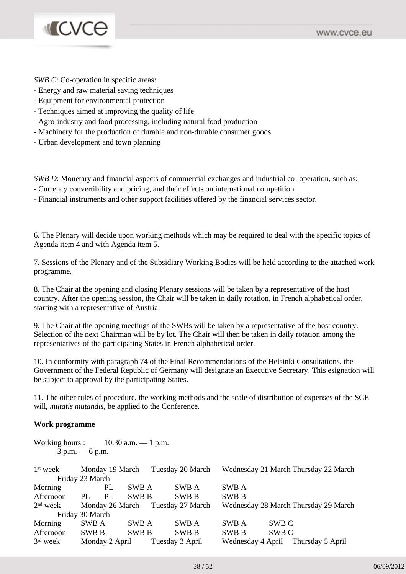

### *SWB C*: Co-operation in specific areas:

- Energy and raw material saving techniques
- Equipment for environmental protection
- Techniques aimed at improving the quality of life
- Agro-industry and food processing, including natural food production
- Machinery for the production of durable and non-durable consumer goods
- Urban development and town planning

*SWB D*: Monetary and financial aspects of commercial exchanges and industrial co- operation, such as:

- Currency convertibility and pricing, and their effects on international competition
- Financial instruments and other support facilities offered by the financial services sector.

6. The Plenary will decide upon working methods which may be required to deal with the specific topics of Agenda item 4 and with Agenda item 5.

7. Sessions of the Plenary and of the Subsidiary Working Bodies will be held according to the attached work programme.

8. The Chair at the opening and closing Plenary sessions will be taken by a representative of the host country. After the opening session, the Chair will be taken in daily rotation, in French alphabetical order, starting with a representative of Austria.

9. The Chair at the opening meetings of the SWBs will be taken by a representative of the host country. Selection of the next Chairman will be by lot. The Chair will then be taken in daily rotation among the representatives of the participating States in French alphabetical order.

10. In conformity with paragraph 74 of the Final Recommendations of the Helsinki Consultations, the Government of the Federal Republic of Germany will designate an Executive Secretary. This esignation will be subject to approval by the participating States.

11. The other rules of procedure, the working methods and the scale of distribution of expenses of the SCE will, *mutatis mutandis*, be applied to the Conference.

### **Work programme**

| Working hours : $10.30$ a.m. $-1$ p.m. | $3 p.m. - 6 p.m.$                |       |                  |                   |       |                                      |
|----------------------------------------|----------------------------------|-------|------------------|-------------------|-------|--------------------------------------|
|                                        |                                  |       |                  |                   |       |                                      |
| $1st$ week                             | Monday 19 March                  |       | Tuesday 20 March |                   |       | Wednesday 21 March Thursday 22 March |
|                                        | Friday 23 March                  |       |                  |                   |       |                                      |
| Morning                                | PL                               | SWB A | SWB A            | <b>SWB A</b>      |       |                                      |
| Afternoon                              | PL<br>PL                         | SWB B | SWB B            | SWB B             |       |                                      |
| $2nd$ week                             | Monday 26 March Tuesday 27 March |       |                  |                   |       | Wednesday 28 March Thursday 29 March |
|                                        | Friday 30 March                  |       |                  |                   |       |                                      |
| Morning                                | SWB A                            | SWB A | SWB A            | SWB A             | SWB C |                                      |
| Afternoon                              | SWB B                            | SWB B | SWB B            | SWB B             | SWB C |                                      |
| $3rd$ week                             | Monday 2 April                   |       | Tuesday 3 April  | Wednesday 4 April |       | Thursday 5 April                     |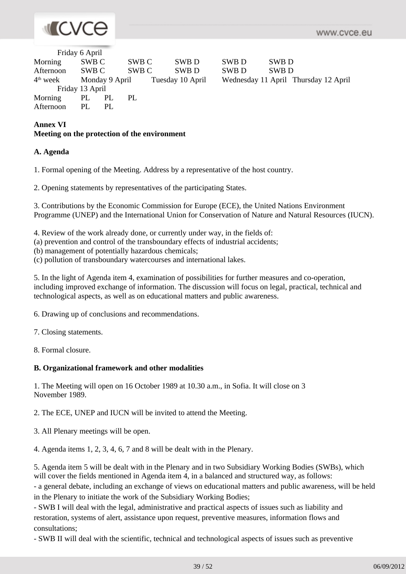

Friday 6 April Morning SWB C SWB C SWB D SWB D SWB D Afternoon SWB C SWB C SWB D SWB D SWB D 4<sup>th</sup> week Friday 13 April Morning PL PL PL Afternoon PL PL

th week Monday 9 April Tuesday 10 April Wednesday 11 April Thursday 12 April

# **Annex VI Meeting on the protection of the environment**

# **A. Agenda**

1. Formal opening of the Meeting. Address by a representative of the host country.

2. Opening statements by representatives of the participating States.

3. Contributions by the Economic Commission for Europe (ECE), the United Nations Environment Programme (UNEP) and the International Union for Conservation of Nature and Natural Resources (IUCN).

4. Review of the work already done, or currently under way, in the fields of:

(a) prevention and control of the transboundary effects of industrial accidents;

(b) management of potentially hazardous chemicals;

(c) pollution of transboundary watercourses and international lakes.

5. In the light of Agenda item 4, examination of possibilities for further measures and co-operation, including improved exchange of information. The discussion will focus on legal, practical, technical and technological aspects, as well as on educational matters and public awareness.

6. Drawing up of conclusions and recommendations.

7. Closing statements.

8. Formal closure.

### **B. Organizational framework and other modalities**

1. The Meeting will open on 16 October 1989 at 10.30 a.m., in Sofia. It will close on 3 November 1989.

2. The ECE, UNEP and IUCN will be invited to attend the Meeting.

3. All Plenary meetings will be open.

4. Agenda items 1, 2, 3, 4, 6, 7 and 8 will be dealt with in the Plenary.

5. Agenda item 5 will be dealt with in the Plenary and in two Subsidiary Working Bodies (SWBs), which will cover the fields mentioned in Agenda item 4, in a balanced and structured way, as follows:

- a general debate, including an exchange of views on educational matters and public awareness, will be held in the Plenary to initiate the work of the Subsidiary Working Bodies;

- SWB I will deal with the legal, administrative and practical aspects of issues such as liability and restoration, systems of alert, assistance upon request, preventive measures, information flows and consultations;

- SWB II will deal with the scientific, technical and technological aspects of issues such as preventive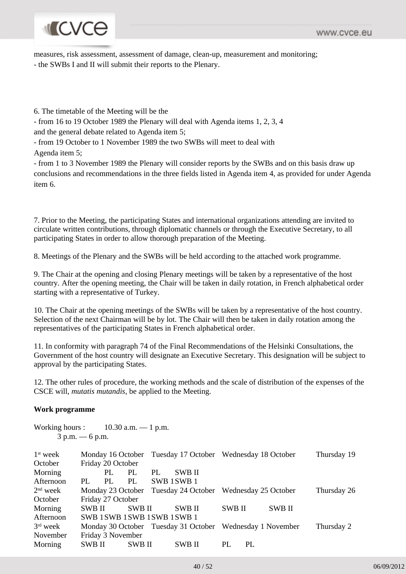# **INCVCE**

measures, risk assessment, assessment of damage, clean-up, measurement and monitoring; - the SWBs I and II will submit their reports to the Plenary.

6. The timetable of the Meeting will be the

- from 16 to 19 October 1989 the Plenary will deal with Agenda items 1, 2, 3, 4

and the general debate related to Agenda item 5;

- from 19 October to 1 November 1989 the two SWBs will meet to deal with

Agenda item 5;

- from 1 to 3 November 1989 the Plenary will consider reports by the SWBs and on this basis draw up conclusions and recommendations in the three fields listed in Agenda item 4, as provided for under Agenda item 6.

7. Prior to the Meeting, the participating States and international organizations attending are invited to circulate written contributions, through diplomatic channels or through the Executive Secretary, to all participating States in order to allow thorough preparation of the Meeting.

8. Meetings of the Plenary and the SWBs will be held according to the attached work programme.

9. The Chair at the opening and closing Plenary meetings will be taken by a representative of the host country. After the opening meeting, the Chair will be taken in daily rotation, in French alphabetical order starting with a representative of Turkey.

10. The Chair at the opening meetings of the SWBs will be taken by a representative of the host country. Selection of the next Chairman will be by lot. The Chair will then be taken in daily rotation among the representatives of the participating States in French alphabetical order.

11. In conformity with paragraph 74 of the Final Recommendations of the Helsinki Consultations, the Government of the host country will designate an Executive Secretary. This designation will be subject to approval by the participating States.

12. The other rules of procedure, the working methods and the scale of distribution of the expenses of the CSCE will, *mutatis mutandis*, be applied to the Meeting.

# **Work programme**

Working hours :  $10.30$  a.m.  $-1$  p.m. 3 p.m. — 6 p.m.

| $1st$ week | Monday 16 October |    |                   |    | Tuesday 17 October Wednesday 18 October                   |               |    |               | Thursday 19 |
|------------|-------------------|----|-------------------|----|-----------------------------------------------------------|---------------|----|---------------|-------------|
| October    | Friday 20 October |    |                   |    |                                                           |               |    |               |             |
| Morning    |                   | PL | PL                | PL | SWB II                                                    |               |    |               |             |
| Afternoon  | PL.               | PL | PI.               |    | SWB <sub>1</sub> SWB <sub>1</sub>                         |               |    |               |             |
| $2nd$ week |                   |    | Monday 23 October |    | Tuesday 24 October Wednesday 25 October                   |               |    |               | Thursday 26 |
| October    | Friday 27 October |    |                   |    |                                                           |               |    |               |             |
| Morning    | SWB II            |    | <b>SWB II</b>     |    | <b>SWB</b> II                                             | <b>SWB II</b> |    | <b>SWB II</b> |             |
| Afternoon  |                   |    |                   |    | SWB 1SWB 1SWB 1SWB 1SWB 1                                 |               |    |               |             |
| $3rd$ week |                   |    |                   |    | Monday 30 October Tuesday 31 October Wednesday 1 November |               |    |               | Thursday 2  |
| November   | Friday 3 November |    |                   |    |                                                           |               |    |               |             |
| Morning    | SWB II            |    | SWB II            |    | <b>SWB II</b>                                             | PL            | PL |               |             |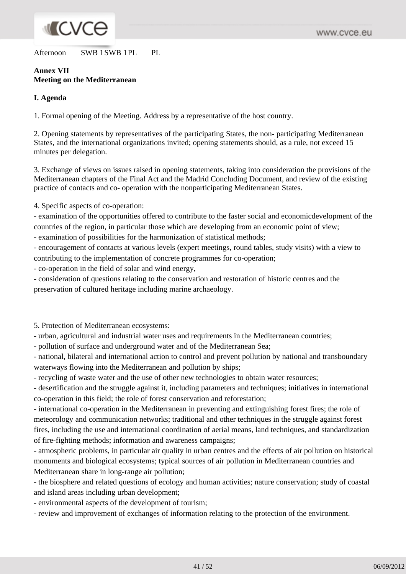### Afternoon SWB 1SWB 1PL PL

### **Annex VII Meeting on the Mediterranean**

**MCVCe** 

#### **I. Agenda**

1. Formal opening of the Meeting. Address by a representative of the host country.

2. Opening statements by representatives of the participating States, the non- participating Mediterranean States, and the international organizations invited; opening statements should, as a rule, not exceed 15 minutes per delegation.

3. Exchange of views on issues raised in opening statements, taking into consideration the provisions of the Mediterranean chapters of the Final Act and the Madrid Concluding Document, and review of the existing practice of contacts and co- operation with the nonparticipating Mediterranean States.

4. Specific aspects of co-operation:

- examination of the opportunities offered to contribute to the faster social and economicdevelopment of the countries of the region, in particular those which are developing from an economic point of view;

- examination of possibilities for the harmonization of statistical methods;

- encouragement of contacts at various levels (expert meetings, round tables, study visits) with a view to contributing to the implementation of concrete programmes for co-operation;

- co-operation in the field of solar and wind energy,

- consideration of questions relating to the conservation and restoration of historic centres and the preservation of cultured heritage including marine archaeology.

5. Protection of Mediterranean ecosystems:

- urban, agricultural and industrial water uses and requirements in the Mediterranean countries;

- pollution of surface and underground water and of the Mediterranean Sea;

- national, bilateral and international action to control and prevent pollution by national and transboundary waterways flowing into the Mediterranean and pollution by ships;

- recycling of waste water and the use of other new technologies to obtain water resources;

- desertification and the struggle against it, including parameters and techniques; initiatives in international co-operation in this field; the role of forest conservation and reforestation;

- international co-operation in the Mediterranean in preventing and extinguishing forest fires; the role of meteorology and communication networks; traditional and other techniques in the struggle against forest fires, including the use and international coordination of aerial means, land techniques, and standardization of fire-fighting methods; information and awareness campaigns;

- atmospheric problems, in particular air quality in urban centres and the effects of air pollution on historical monuments and biological ecosystems; typical sources of air pollution in Mediterranean countries and Mediterranean share in long-range air pollution;

- the biosphere and related questions of ecology and human activities; nature conservation; study of coastal and island areas including urban development;

- environmental aspects of the development of tourism;

- review and improvement of exchanges of information relating to the protection of the environment.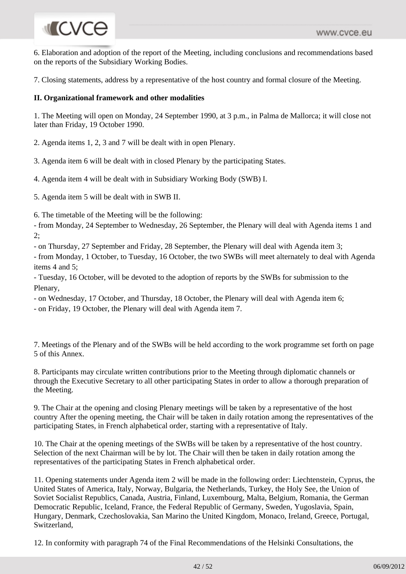# **MICVCO**

6. Elaboration and adoption of the report of the Meeting, including conclusions and recommendations based on the reports of the Subsidiary Working Bodies.

7. Closing statements, address by a representative of the host country and formal closure of the Meeting.

# **II. Organizational framework and other modalities**

1. The Meeting will open on Monday, 24 September 1990, at 3 p.m., in Palma de Mallorca; it will close not later than Friday, 19 October 1990.

2. Agenda items 1, 2, 3 and 7 will be dealt with in open Plenary.

3. Agenda item 6 will be dealt with in closed Plenary by the participating States.

4. Agenda item 4 will be dealt with in Subsidiary Working Body (SWB) I.

5. Agenda item 5 will be dealt with in SWB II.

6. The timetable of the Meeting will be the following:

- from Monday, 24 September to Wednesday, 26 September, the Plenary will deal with Agenda items 1 and 2;

- on Thursday, 27 September and Friday, 28 September, the Plenary will deal with Agenda item 3;

- from Monday, 1 October, to Tuesday, 16 October, the two SWBs will meet alternately to deal with Agenda items 4 and 5;

- Tuesday, 16 October, will be devoted to the adoption of reports by the SWBs for submission to the Plenary,

- on Wednesday, 17 October, and Thursday, 18 October, the Plenary will deal with Agenda item 6;

- on Friday, 19 October, the Plenary will deal with Agenda item 7.

7. Meetings of the Plenary and of the SWBs will be held according to the work programme set forth on page 5 of this Annex.

8. Participants may circulate written contributions prior to the Meeting through diplomatic channels or through the Executive Secretary to all other participating States in order to allow a thorough preparation of the Meeting.

9. The Chair at the opening and closing Plenary meetings will be taken by a representative of the host country After the opening meeting, the Chair will be taken in daily rotation among the representatives of the participating States, in French alphabetical order, starting with a representative of Italy.

10. The Chair at the opening meetings of the SWBs will be taken by a representative of the host country. Selection of the next Chairman will be by lot. The Chair will then be taken in daily rotation among the representatives of the participating States in French alphabetical order.

11. Opening statements under Agenda item 2 will be made in the following order: Liechtenstein, Cyprus, the United States of America, Italy, Norway, Bulgaria, the Netherlands, Turkey, the Holy See, the Union of Soviet Socialist Republics, Canada, Austria, Finland, Luxembourg, Malta, Belgium, Romania, the German Democratic Republic, Iceland, France, the Federal Republic of Germany, Sweden, Yugoslavia, Spain, Hungary, Denmark, Czechoslovakia, San Marino the United Kingdom, Monaco, Ireland, Greece, Portugal, Switzerland,

12. In conformity with paragraph 74 of the Final Recommendations of the Helsinki Consultations, the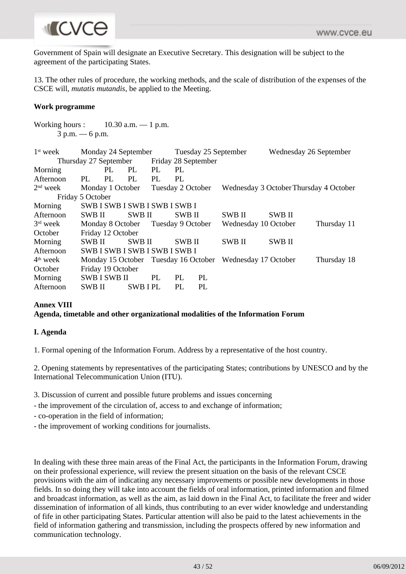

Government of Spain will designate an Executive Secretary. This designation will be subject to the agreement of the participating States.

13. The other rules of procedure, the working methods, and the scale of distribution of the expenses of the CSCE will, *mutatis mutandis*, be applied to the Meeting.

## **Work programme**

Working hours :  $10.30$  a.m.  $-1$  p.m. 3 p.m. — 6 p.m. 1<sup>st</sup> week st week Monday 24 September Tuesday 25 September Wednesday 26 September Thursday 27 September Friday 28 September Morning PL PL PL PL Afternoon PL PL PL PL PL  $2<sup>nd</sup>$  week Monday 1 October Tuesday 2 October Wednesday 3 October Thursday 4 October Friday 5 October Morning SWB I SWB I SWB I SWB I SWB I Afternoon SWB II SWB II SWB II SWB II SWB II 3rd week rd week Monday 8 October Tuesday 9 October Wednesday 10 October Thursday 11 October Friday 12 October Morning SWB II SWB II SWB II SWB II SWB II Afternoon SWB I SWB I SWB I SWB I SWB I 4<sup>th</sup> week th week Monday 15 October Tuesday 16 October Wednesday 17 October Thursday 18 October Friday 19 October Morning SWB I SWB II PL PL PL Afternoon SWB II SWB I PL PL PL

### **Annex VIII**

**Agenda, timetable and other organizational modalities of the Information Forum**

### **I. Agenda**

1. Formal opening of the Information Forum. Address by a representative of the host country.

2. Opening statements by representatives of the participating States; contributions by UNESCO and by the International Telecommunication Union (ITU).

3. Discussion of current and possible future problems and issues concerning

- the improvement of the circulation of, access to and exchange of information;

- co-operation in the field of information;

- the improvement of working conditions for journalists.

In dealing with these three main areas of the Final Act, the participants in the Information Forum, drawing on their professional experience, will review the present situation on the basis of the relevant CSCE provisions with the aim of indicating any necessary improvements or possible new developments in those fields. In so doing they will take into account the fields of oral information, printed information and filmed and broadcast information, as well as the aim, as laid down in the Final Act, to facilitate the freer and wider dissemination of information of all kinds, thus contributing to an ever wider knowledge and understanding of fife in other participating States. Particular attention will also be paid to the latest achievements in the field of information gathering and transmission, including the prospects offered by new information and communication technology.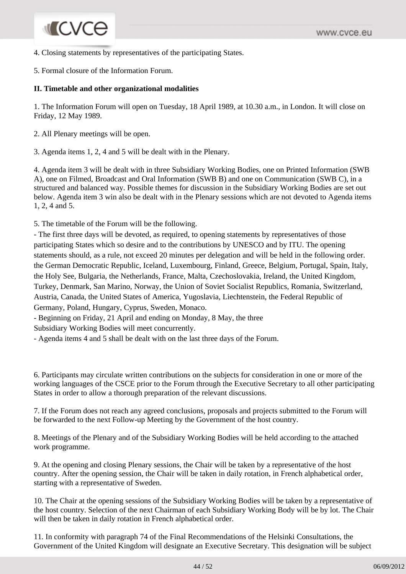# **INCVCe**

4. Closing statements by representatives of the participating States.

5. Formal closure of the Information Forum.

## **II. Timetable and other organizational modalities**

1. The Information Forum will open on Tuesday, 18 April 1989, at 10.30 a.m., in London. It will close on Friday, 12 May 1989.

- 2. All Plenary meetings will be open.
- 3. Agenda items 1, 2, 4 and 5 will be dealt with in the Plenary.

4. Agenda item 3 will be dealt with in three Subsidiary Working Bodies, one on Printed Information (SWB A), one on Filmed, Broadcast and Oral Information (SWB B) and one on Communication (SWB C), in a structured and balanced way. Possible themes for discussion in the Subsidiary Working Bodies are set out below. Agenda item 3 win also be dealt with in the Plenary sessions which are not devoted to Agenda items 1, 2, 4 and 5.

5. The timetable of the Forum will be the following.

- The first three days will be devoted, as required, to opening statements by representatives of those participating States which so desire and to the contributions by UNESCO and by ITU. The opening statements should, as a rule, not exceed 20 minutes per delegation and will be held in the following order. the German Democratic Republic, Iceland, Luxembourg, Finland, Greece, Belgium, Portugal, Spain, Italy, the Holy See, Bulgaria, the Netherlands, France, Malta, Czechoslovakia, Ireland, the United Kingdom, Turkey, Denmark, San Marino, Norway, the Union of Soviet Socialist Republics, Romania, Switzerland, Austria, Canada, the United States of America, Yugoslavia, Liechtenstein, the Federal Republic of Germany, Poland, Hungary, Cyprus, Sweden, Monaco.

- Beginning on Friday, 21 April and ending on Monday, 8 May, the three

Subsidiary Working Bodies will meet concurrently.

- Agenda items 4 and 5 shall be dealt with on the last three days of the Forum.

6. Participants may circulate written contributions on the subjects for consideration in one or more of the working languages of the CSCE prior to the Forum through the Executive Secretary to all other participating States in order to allow a thorough preparation of the relevant discussions.

7. If the Forum does not reach any agreed conclusions, proposals and projects submitted to the Forum will be forwarded to the next Follow-up Meeting by the Government of the host country.

8. Meetings of the Plenary and of the Subsidiary Working Bodies will be held according to the attached work programme.

9. At the opening and closing Plenary sessions, the Chair will be taken by a representative of the host country. After the opening session, the Chair will be taken in daily rotation, in French alphabetical order, starting with a representative of Sweden.

10. The Chair at the opening sessions of the Subsidiary Working Bodies will be taken by a representative of the host country. Selection of the next Chairman of each Subsidiary Working Body will be by lot. The Chair will then be taken in daily rotation in French alphabetical order.

11. In conformity with paragraph 74 of the Final Recommendations of the Helsinki Consultations, the Government of the United Kingdom will designate an Executive Secretary. This designation will be subject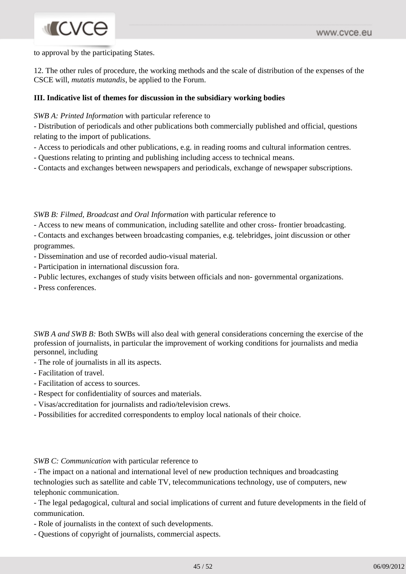# **INCVCe**

to approval by the participating States.

12. The other rules of procedure, the working methods and the scale of distribution of the expenses of the CSCE will, *mutatis mutandis*, be applied to the Forum.

# **III. Indicative list of themes for discussion in the subsidiary working bodies**

*SWB A: Printed Information* with particular reference to

- Distribution of periodicals and other publications both commercially published and official, questions relating to the import of publications.

- Access to periodicals and other publications, e.g. in reading rooms and cultural information centres.
- Questions relating to printing and publishing including access to technical means.
- Contacts and exchanges between newspapers and periodicals, exchange of newspaper subscriptions.

*SWB B: Filmed, Broadcast and Oral Information* with particular reference to

- Access to new means of communication, including satellite and other cross- frontier broadcasting.

- Contacts and exchanges between broadcasting companies, e.g. telebridges, joint discussion or other programmes.

- Dissemination and use of recorded audio-visual material.
- Participation in international discussion fora.
- Public lectures, exchanges of study visits between officials and non- governmental organizations.
- Press conferences.

*SWB A and SWB B:* Both SWBs will also deal with general considerations concerning the exercise of the profession of journalists, in particular the improvement of working conditions for journalists and media personnel, including

- The role of journalists in all its aspects.
- Facilitation of travel.
- Facilitation of access to sources.
- Respect for confidentiality of sources and materials.
- Visas/accreditation for journalists and radio/television crews.
- Possibilities for accredited correspondents to employ local nationals of their choice.

### *SWB C: Communication* with particular reference to

- The impact on a national and international level of new production techniques and broadcasting technologies such as satellite and cable TV, telecommunications technology, use of computers, new telephonic communication.

- The legal pedagogical, cultural and social implications of current and future developments in the field of communication.

- Role of journalists in the context of such developments.
- Questions of copyright of journalists, commercial aspects.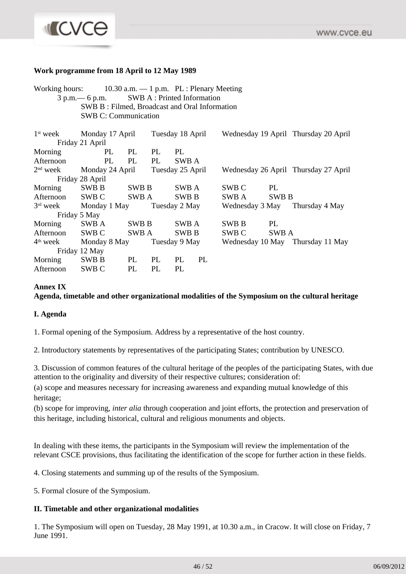

### **Work programme from 18 April to 12 May 1989**

| Working hours: 10.30 a.m. - 1 p.m. PL : Plenary Meeting | $3 p.m.$ 6 p.m.<br>SWB B: Filmed, Broadcast and Oral Information<br><b>SWB C: Communication</b> |       |       | <b>SWB A: Printed Information</b> |    |          |       |                                      |
|---------------------------------------------------------|-------------------------------------------------------------------------------------------------|-------|-------|-----------------------------------|----|----------|-------|--------------------------------------|
| 1 <sup>st</sup> week Monday 17 April                    |                                                                                                 |       |       | Tuesday 18 April                  |    |          |       | Wednesday 19 April Thursday 20 April |
|                                                         | Friday 21 April                                                                                 |       |       |                                   |    |          |       |                                      |
| Morning                                                 | PL                                                                                              | PL    | PL    | PL                                |    |          |       |                                      |
| Afternoon                                               | PL                                                                                              | PL PL |       | SWB A                             |    |          |       |                                      |
| 2 <sup>nd</sup> week Monday 24 April Tuesday 25 April   |                                                                                                 |       |       |                                   |    |          |       | Wednesday 26 April Thursday 27 April |
|                                                         | Friday 28 April                                                                                 |       |       |                                   |    |          |       |                                      |
| Morning                                                 | SWB B SWB B SWB A                                                                               |       |       |                                   |    | SWB C PL |       |                                      |
| Afternoon SWB C                                         |                                                                                                 |       | SWB A | SWB B                             |    | SWB A    | SWB B |                                      |
| 3 <sup>rd</sup> week Monday 1 May                       |                                                                                                 |       |       | Tuesday 2 May                     |    |          |       | Wednesday 3 May Thursday 4 May       |
|                                                         | Friday 5 May                                                                                    |       |       |                                   |    |          |       |                                      |
| Morning                                                 | SWB A                                                                                           |       |       | SWB B SWB A                       |    | SWB B PL |       |                                      |
| Afternoon                                               | SWB C                                                                                           |       | SWB A | SWB B                             |    | SWB C    | SWB A |                                      |
| 4 <sup>th</sup> week Monday 8 May                       |                                                                                                 |       |       | Tuesday 9 May                     |    |          |       | Wednesday 10 May Thursday 11 May     |
|                                                         | Friday 12 May                                                                                   |       |       |                                   |    |          |       |                                      |
| Morning                                                 | SWB B                                                                                           |       |       | PL PL PL                          | PL |          |       |                                      |
| Afternoon                                               | SWB C                                                                                           | PL    | PL    | PL                                |    |          |       |                                      |

### **Annex IX**

### **Agenda, timetable and other organizational modalities of the Symposium on the cultural heritage**

#### **I. Agenda**

1. Formal opening of the Symposium. Address by a representative of the host country.

2. Introductory statements by representatives of the participating States; contribution by UNESCO.

3. Discussion of common features of the cultural heritage of the peoples of the participating States, with due attention to the originality and diversity of their respective cultures; consideration of:

(a) scope and measures necessary for increasing awareness and expanding mutual knowledge of this heritage;

(b) scope for improving, *inter alia* through cooperation and joint efforts, the protection and preservation of this heritage, including historical, cultural and religious monuments and objects.

In dealing with these items, the participants in the Symposium will review the implementation of the relevant CSCE provisions, thus facilitating the identification of the scope for further action in these fields.

4. Closing statements and summing up of the results of the Symposium.

5. Formal closure of the Symposium.

### **II. Timetable and other organizational modalities**

1. The Symposium will open on Tuesday, 28 May 1991, at 10.30 a.m., in Cracow. It will close on Friday, 7 June 1991.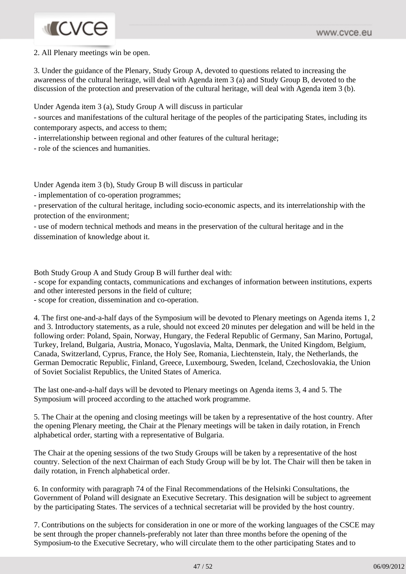# **MICVCO**

### 2. All Plenary meetings win be open.

3. Under the guidance of the Plenary, Study Group A, devoted to questions related to increasing the awareness of the cultural heritage, will deal with Agenda item 3 (a) and Study Group B, devoted to the discussion of the protection and preservation of the cultural heritage, will deal with Agenda item 3 (b).

Under Agenda item 3 (a), Study Group A will discuss in particular

- sources and manifestations of the cultural heritage of the peoples of the participating States, including its contemporary aspects, and access to them;

- interrelationship between regional and other features of the cultural heritage;

- role of the sciences and humanities.

Under Agenda item 3 (b), Study Group B will discuss in particular

- implementation of co-operation programmes;

- preservation of the cultural heritage, including socio-economic aspects, and its interrelationship with the protection of the environment;

- use of modern technical methods and means in the preservation of the cultural heritage and in the dissemination of knowledge about it.

Both Study Group A and Study Group B will further deal with:

- scope for expanding contacts, communications and exchanges of information between institutions, experts and other interested persons in the field of culture;

- scope for creation, dissemination and co-operation.

4. The first one-and-a-half days of the Symposium will be devoted to Plenary meetings on Agenda items 1, 2 and 3. Introductory statements, as a rule, should not exceed 20 minutes per delegation and will be held in the following order: Poland, Spain, Norway, Hungary, the Federal Republic of Germany, San Marino, Portugal, Turkey, Ireland, Bulgaria, Austria, Monaco, Yugoslavia, Malta, Denmark, the United Kingdom, Belgium, Canada, Switzerland, Cyprus, France, the Holy See, Romania, Liechtenstein, Italy, the Netherlands, the German Democratic Republic, Finland, Greece, Luxembourg, Sweden, Iceland, Czechoslovakia, the Union of Soviet Socialist Republics, the United States of America.

The last one-and-a-half days will be devoted to Plenary meetings on Agenda items 3, 4 and 5. The Symposium will proceed according to the attached work programme.

5. The Chair at the opening and closing meetings will be taken by a representative of the host country. After the opening Plenary meeting, the Chair at the Plenary meetings will be taken in daily rotation, in French alphabetical order, starting with a representative of Bulgaria.

The Chair at the opening sessions of the two Study Groups will be taken by a representative of the host country. Selection of the next Chairman of each Study Group will be by lot. The Chair will then be taken in daily rotation, in French alphabetical order.

6. In conformity with paragraph 74 of the Final Recommendations of the Helsinki Consultations, the Government of Poland will designate an Executive Secretary. This designation will be subject to agreement by the participating States. The services of a technical secretariat will be provided by the host country.

7. Contributions on the subjects for consideration in one or more of the working languages of the CSCE may be sent through the proper channels-preferably not later than three months before the opening of the Symposium-to the Executive Secretary, who will circulate them to the other participating States and to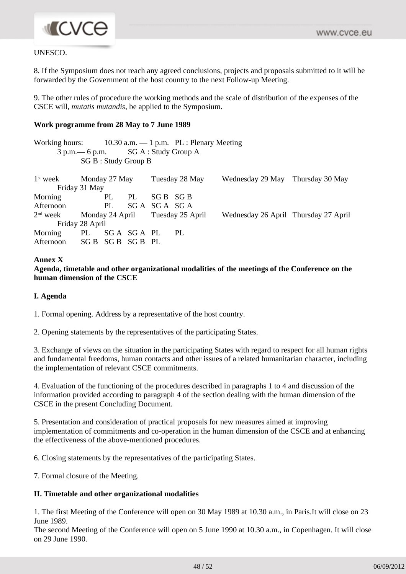# **INCVCE**

### UNESCO.

8. If the Symposium does not reach any agreed conclusions, projects and proposals submitted to it will be forwarded by the Government of the host country to the next Follow-up Meeting.

9. The other rules of procedure the working methods and the scale of distribution of the expenses of the CSCE will, *mutatis mutandis*, be applied to the Symposium.

### **Work programme from 28 May to 7 June 1989**

| Wednesday 29 May Thursday 30 May     |
|--------------------------------------|
|                                      |
|                                      |
|                                      |
| Wednesday 26 April Thursday 27 April |
|                                      |
|                                      |
|                                      |
|                                      |

### **Annex X**

**Agenda, timetable and other organizational modalities of the meetings of the Conference on the human dimension of the CSCE**

### **I. Agenda**

1. Formal opening. Address by a representative of the host country.

2. Opening statements by the representatives of the participating States.

3. Exchange of views on the situation in the participating States with regard to respect for all human rights and fundamental freedoms, human contacts and other issues of a related humanitarian character, including the implementation of relevant CSCE commitments.

4. Evaluation of the functioning of the procedures described in paragraphs 1 to 4 and discussion of the information provided according to paragraph 4 of the section dealing with the human dimension of the CSCE in the present Concluding Document.

5. Presentation and consideration of practical proposals for new measures aimed at improving implementation of commitments and co-operation in the human dimension of the CSCE and at enhancing the effectiveness of the above-mentioned procedures.

6. Closing statements by the representatives of the participating States.

7. Formal closure of the Meeting.

### **II. Timetable and other organizational modalities**

1. The first Meeting of the Conference will open on 30 May 1989 at 10.30 a.m., in Paris.It will close on 23 June 1989.

The second Meeting of the Conference will open on 5 June 1990 at 10.30 a.m., in Copenhagen. It will close on 29 June 1990.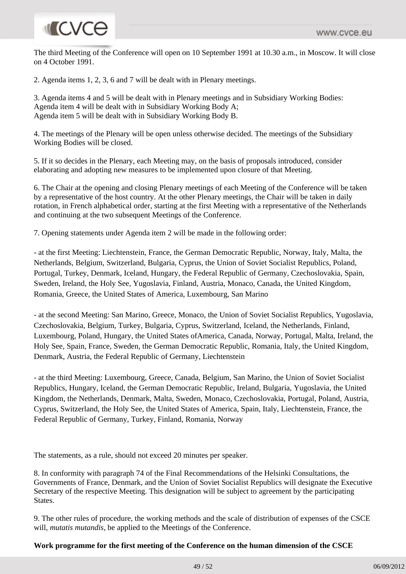# **INCVCE**

The third Meeting of the Conference will open on 10 September 1991 at 10.30 a.m., in Moscow. It will close on 4 October 1991.

2. Agenda items 1, 2, 3, 6 and 7 will be dealt with in Plenary meetings.

3. Agenda items 4 and 5 will be dealt with in Plenary meetings and in Subsidiary Working Bodies: Agenda item 4 will be dealt with in Subsidiary Working Body A; Agenda item 5 will be dealt with in Subsidiary Working Body B.

4. The meetings of the Plenary will be open unless otherwise decided. The meetings of the Subsidiary Working Bodies will be closed.

5. If it so decides in the Plenary, each Meeting may, on the basis of proposals introduced, consider elaborating and adopting new measures to be implemented upon closure of that Meeting.

6. The Chair at the opening and closing Plenary meetings of each Meeting of the Conference will be taken by a representative of the host country. At the other Plenary meetings, the Chair will be taken in daily rotation, in French alphabetical order, starting at the first Meeting with a representative of the Netherlands and continuing at the two subsequent Meetings of the Conference.

7. Opening statements under Agenda item 2 will be made in the following order:

- at the first Meeting: Liechtenstein, France, the German Democratic Republic, Norway, Italy, Malta, the Netherlands, Belgium, Switzerland, Bulgaria, Cyprus, the Union of Soviet Socialist Republics, Poland, Portugal, Turkey, Denmark, Iceland, Hungary, the Federal Republic of Germany, Czechoslovakia, Spain, Sweden, Ireland, the Holy See, Yugoslavia, Finland, Austria, Monaco, Canada, the United Kingdom, Romania, Greece, the United States of America, Luxembourg, San Marino

- at the second Meeting: San Marino, Greece, Monaco, the Union of Soviet Socialist Republics, Yugoslavia, Czechoslovakia, Belgium, Turkey, Bulgaria, Cyprus, Switzerland, Iceland, the Netherlands, Finland, Luxembourg, Poland, Hungary, the United States ofAmerica, Canada, Norway, Portugal, Malta, Ireland, the Holy See, Spain, France, Sweden, the German Democratic Republic, Romania, Italy, the United Kingdom, Denmark, Austria, the Federal Republic of Germany, Liechtenstein

- at the third Meeting: Luxembourg, Greece, Canada, Belgium, San Marino, the Union of Soviet Socialist Republics, Hungary, Iceland, the German Democratic Republic, Ireland, Bulgaria, Yugoslavia, the United Kingdom, the Netherlands, Denmark, Malta, Sweden, Monaco, Czechoslovakia, Portugal, Poland, Austria, Cyprus, Switzerland, the Holy See, the United States of America, Spain, Italy, Liechtenstein, France, the Federal Republic of Germany, Turkey, Finland, Romania, Norway

The statements, as a rule, should not exceed 20 minutes per speaker.

8. In conformity with paragraph 74 of the Final Recommendations of the Helsinki Consultations, the Governments of France, Denmark, and the Union of Soviet Socialist Republics will designate the Executive Secretary of the respective Meeting. This designation will be subject to agreement by the participating States.

9. The other rules of procedure, the working methods and the scale of distribution of expenses of the CSCE will, *mutatis mutandis*, be applied to the Meetings of the Conference.

# **Work programme for the first meeting of the Conference on the human dimension of the CSCE**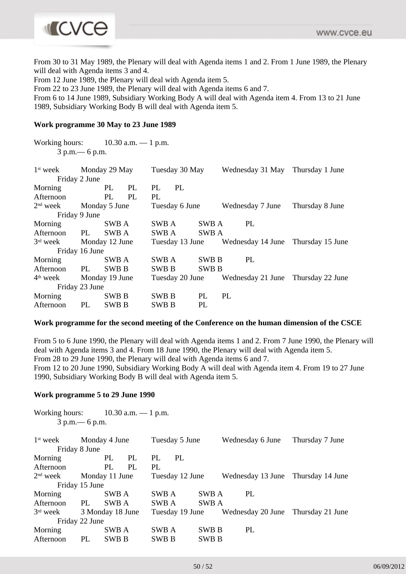# **MCVCe**

From 30 to 31 May 1989, the Plenary will deal with Agenda items 1 and 2. From 1 June 1989, the Plenary will deal with Agenda items 3 and 4.

From 12 June 1989, the Plenary will deal with Agenda item 5.

From 22 to 23 June 1989, the Plenary will deal with Agenda items 6 and 7.

From 6 to 14 June 1989, Subsidiary Working Body A will deal with Agenda item 4. From 13 to 21 June 1989, Subsidiary Working Body B will deal with Agenda item 5.

### **Work programme 30 May to 23 June 1989**

Working hours:  $10.30$  a.m.  $-1$  p.m. 3 p.m.— 6 p.m.

| $1st$ week           | Monday 29 May  |                |    | Tuesday 30 May |                 |       |    |                  | Wednesday 31 May Thursday 1 June   |
|----------------------|----------------|----------------|----|----------------|-----------------|-------|----|------------------|------------------------------------|
| Friday 2 June        |                |                |    |                |                 |       |    |                  |                                    |
| Morning              |                | PL             | PL | PL             | PL              |       |    |                  |                                    |
| Afternoon            |                | PL             | PL | PL             |                 |       |    |                  |                                    |
| $2nd$ week           | Monday 5 June  |                |    |                | Tuesday 6 June  |       |    | Wednesday 7 June | Thursday 8 June                    |
| Friday 9 June        |                |                |    |                |                 |       |    |                  |                                    |
| Morning              |                | SWB A          |    | SWB A          |                 | SWB A |    | PL               |                                    |
| Afternoon PL         |                | SWB A          |    | SWB A          |                 | SWB A |    |                  |                                    |
| 3 <sup>rd</sup> week |                | Monday 12 June |    |                | Tuesday 13 June |       |    |                  | Wednesday 14 June Thursday 15 June |
|                      | Friday 16 June |                |    |                |                 |       |    |                  |                                    |
| Morning              |                | SWB A          |    | SWB A          |                 | SWB B |    | PL               |                                    |
| Afternoon            | <b>PL</b>      | SWB B          |    | SWB B          |                 | SWB B |    |                  |                                    |
| 4 <sup>th</sup> week | Monday 19 June |                |    |                | Tuesday 20 June |       |    |                  | Wednesday 21 June Thursday 22 June |
|                      | Friday 23 June |                |    |                |                 |       |    |                  |                                    |
| Morning              |                | SWB B          |    | SWB B          |                 | PL    | PL |                  |                                    |
| Afternoon            | PL             | SWB B          |    | <b>SWB B</b>   |                 | PL    |    |                  |                                    |

### **Work programme for the second meeting of the Conference on the human dimension of the CSCE**

From 5 to 6 June 1990, the Plenary will deal with Agenda items 1 and 2. From 7 June 1990, the Plenary will deal with Agenda items 3 and 4. From 18 June 1990, the Plenary will deal with Agenda item 5. From 28 to 29 June 1990, the Plenary will deal with Agenda items 6 and 7. From 12 to 20 June 1990, Subsidiary Working Body A will deal with Agenda item 4. From 19 to 27 June 1990, Subsidiary Working Body B will deal with Agenda item 5.

### **Work programme 5 to 29 June 1990**

|    |                               |                                                       |                                                                                         |                                       |                                  |                                                      |                                  | Thursday 7 June                                                                              |
|----|-------------------------------|-------------------------------------------------------|-----------------------------------------------------------------------------------------|---------------------------------------|----------------------------------|------------------------------------------------------|----------------------------------|----------------------------------------------------------------------------------------------|
|    |                               |                                                       |                                                                                         |                                       |                                  |                                                      |                                  |                                                                                              |
|    | PL                            | PL                                                    | PL                                                                                      | PL                                    |                                  |                                                      |                                  |                                                                                              |
|    | PL                            | PL                                                    | PL                                                                                      |                                       |                                  |                                                      |                                  |                                                                                              |
|    |                               |                                                       |                                                                                         |                                       |                                  |                                                      |                                  |                                                                                              |
|    |                               |                                                       |                                                                                         |                                       |                                  |                                                      |                                  |                                                                                              |
|    |                               |                                                       |                                                                                         |                                       |                                  |                                                      | PL                               |                                                                                              |
|    |                               |                                                       |                                                                                         |                                       |                                  |                                                      |                                  |                                                                                              |
|    |                               |                                                       |                                                                                         |                                       |                                  |                                                      |                                  |                                                                                              |
|    |                               |                                                       |                                                                                         |                                       |                                  |                                                      |                                  |                                                                                              |
|    |                               |                                                       |                                                                                         |                                       |                                  |                                                      | PL                               |                                                                                              |
| PL |                               |                                                       |                                                                                         |                                       |                                  |                                                      |                                  |                                                                                              |
|    | Friday 8 June<br>Afternoon PL | $3 p.m. - 6 p.m.$<br>Friday 15 June<br>Friday 22 June | Monday 4 June<br>Monday 11 June<br>SWB A<br>SWB A<br>3 Monday 18 June<br>SWB A<br>SWB B | Working hours: $10.30$ a.m. $-1$ p.m. | SWB A<br>SWB A<br>SWB A<br>SWB B | Tuesday 5 June<br>Tuesday 12 June<br>Tuesday 19 June | SWB A<br>SWB A<br>SWB B<br>SWB B | Wednesday 6 June<br>Wednesday 13 June Thursday 14 June<br>Wednesday 20 June Thursday 21 June |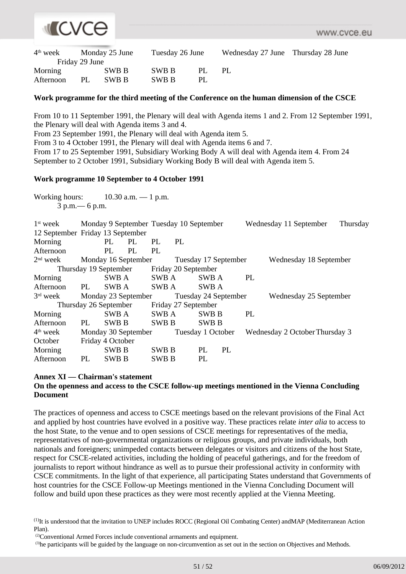

| $4th$ week     |    | Monday 25 June | Tuesday 26 June |     | Wednesday 27 June Thursday 28 June |  |
|----------------|----|----------------|-----------------|-----|------------------------------------|--|
| Friday 29 June |    |                |                 |     |                                    |  |
| Morning        |    | SWB B          | SWB B           | PL. | PL.                                |  |
| Afternoon      | PL | SWB B          | SWB B           |     |                                    |  |

### **Work programme for the third meeting of the Conference on the human dimension of the CSCE**

From 10 to 11 September 1991, the Plenary will deal with Agenda items 1 and 2. From 12 September 1991, the Plenary will deal with Agenda items 3 and 4. From 23 September 1991, the Plenary will deal with Agenda item 5. From 3 to 4 October 1991, the Plenary will deal with Agenda items 6 and 7. From 17 to 25 September 1991, Subsidiary Working Body A will deal with Agenda item 4. From 24 September to 2 October 1991, Subsidiary Working Body B will deal with Agenda item 5.

#### **Work programme 10 September to 4 October 1991**

Working hours:  $10.30$  a.m.  $-1$  p.m. 3 p.m.— 6 p.m.  $1<sup>st</sup>$  week st week Monday 9 September Tuesday 10 September Wednesday 11 September Thursday 12 September Friday 13 September Morning PL PL PL PL Afternoon PL PL PL 2<sup>nd</sup> week Monday 16 September Tuesday 17 September Wednesday 18 September Thursday 19 September Friday 20 September Morning SWB A SWB A SWB A PL Afternoon PL SWB A SWB A SWB A 3rd week rd week Monday 23 September Tuesday 24 September Wednesday 25 September Thursday 26 September Friday 27 September Morning SWB A SWB A SWB B PL Afternoon PL SWB B SWB B SWB B  $4<sup>th</sup>$  week Monday 30 September Tuesday 1 October Wednesday 2 October Thursday 3 October Friday 4 October Morning SWB B SWB B PL PL Afternoon PL SWB B SWB B PL

#### **Annex XI — Chairman's statement**

#### **On the openness and access to the CSCE follow-up meetings mentioned in the Vienna Concluding Document**

The practices of openness and access to CSCE meetings based on the relevant provisions of the Final Act and applied by host countries have evolved in a positive way. These practices relate *inter alia* to access to the host State, to the venue and to open sessions of CSCE meetings for representatives of the media, representatives of non-governmental organizations or religious groups, and private individuals, both nationals and foreigners; unimpeded contacts between delegates or visitors and citizens of the host State, respect for CSCE-related activities, including the holding of peaceful gatherings, and for the freedom of journalists to report without hindrance as well as to pursue their professional activity in conformity with CSCE commitments. In the light of that experience, all participating States understand that Governments of host countries for the CSCE Follow-up Meetings mentioned in the Vienna Concluding Document will follow and build upon these practices as they were most recently applied at the Vienna Meeting.

 $<sup>(1)</sup>$ It is understood that the invitation to UNEP includes ROCC (Regional Oil Combating Center) andMAP (Mediterranean Action</sup> Plan).

<sup>(2)</sup>Conventional Armed Forces include conventional armaments and equipment.

<sup>&</sup>lt;sup>(3)</sup>he participants will be guided by the language on non-circumvention as set out in the section on Objectives and Methods.